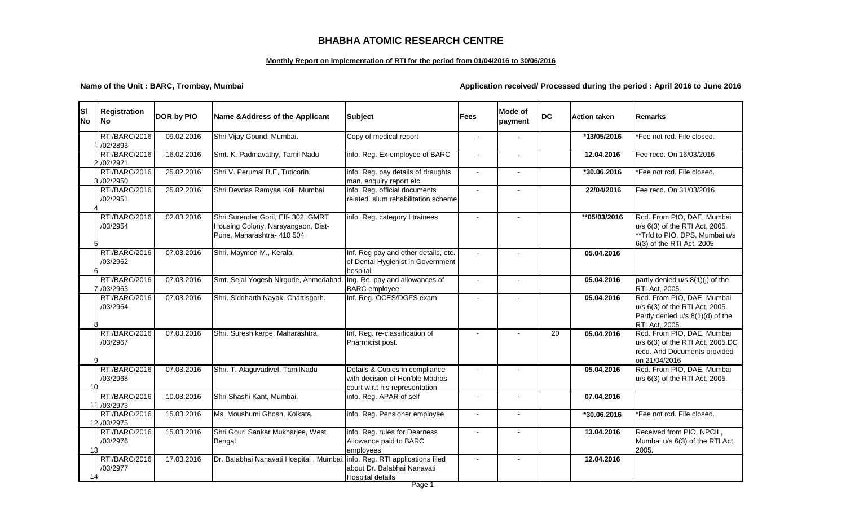| <b>SI</b><br><b>No</b> | <b>Registration</b><br><b>No</b> | DOR by PIO | Name & Address of the Applicant                                                                         | <b>Subject</b>                                                                                      | <b>Fees</b>              | Mode of<br>payment       | <b>DC</b> | <b>Action taken</b> | Remarks                                                                                                                    |
|------------------------|----------------------------------|------------|---------------------------------------------------------------------------------------------------------|-----------------------------------------------------------------------------------------------------|--------------------------|--------------------------|-----------|---------------------|----------------------------------------------------------------------------------------------------------------------------|
|                        | RTI/BARC/2016<br>1/02/2893       | 09.02.2016 | Shri Vijay Gound, Mumbai.                                                                               | Copy of medical report                                                                              | $\overline{a}$           | $\sim$                   |           | *13/05/2016         | *Fee not rcd. File closed.                                                                                                 |
|                        | RTI/BARC/2016<br>2 /02/2921      | 16.02.2016 | Smt. K. Padmavathy, Tamil Nadu                                                                          | info. Reg. Ex-employee of BARC                                                                      |                          |                          |           | 12.04.2016          | Fee recd. On 16/03/2016                                                                                                    |
|                        | RTI/BARC/2016<br>3/02/2950       | 25.02.2016 | Shri V. Perumal B.E, Tuticorin.                                                                         | info. Reg. pay details of draughts<br>man, enquiry report etc.                                      |                          |                          |           | *30.06.2016         | *Fee not rcd. File closed.                                                                                                 |
|                        | RTI/BARC/2016<br>/02/2951        | 25.02.2016 | Shri Devdas Ramyaa Koli, Mumbai                                                                         | info. Reg. official documents<br>related slum rehabilitation scheme                                 |                          |                          |           | 22/04/2016          | Fee recd. On 31/03/2016                                                                                                    |
|                        | RTI/BARC/2016<br>/03/2954        | 02.03.2016 | Shri Surender Goril, Eff- 302, GMRT<br>Housing Colony, Narayangaon, Dist-<br>Pune, Maharashtra- 410 504 | info. Reg. category I trainees                                                                      |                          |                          |           | **05/03/2016        | Rcd. From PIO, DAE, Mumbai<br>u/s 6(3) of the RTI Act, 2005.<br>**Trfd to PIO, DPS, Mumbai u/<br>6(3) of the RTI Act, 2005 |
|                        | RTI/BARC/2016<br>/03/2962        | 07.03.2016 | Shri. Maymon M., Kerala.                                                                                | Inf. Reg pay and other details, etc.<br>of Dental Hygienist in Government<br>hospital               |                          |                          |           | 05.04.2016          |                                                                                                                            |
|                        | RTI/BARC/2016<br>7 /03/2963      | 07.03.2016 | Smt. Sejal Yogesh Nirgude, Ahmedabad.                                                                   | Ing. Re. pay and allowances of<br><b>BARC</b> employee                                              |                          |                          |           | 05.04.2016          | partly denied u/s 8(1)(j) of the<br><b>RTI Act, 2005.</b>                                                                  |
|                        | RTI/BARC/2016<br>/03/2964        | 07.03.2016 | Shri. Siddharth Nayak, Chattisgarh.                                                                     | Inf. Reg. OCES/DGFS exam                                                                            |                          | $\overline{\phantom{a}}$ |           | 05.04.2016          | Rcd. From PIO, DAE, Mumbai<br>u/s 6(3) of the RTI Act, 2005.<br>Partly denied u/s 8(1)(d) of the<br>RTI Act, 2005.         |
|                        | RTI/BARC/2016<br>/03/2967        | 07.03.2016 | Shri. Suresh karpe, Maharashtra.                                                                        | Inf. Reg. re-classification of<br>Pharmicist post.                                                  |                          |                          | 20        | 05.04.2016          | Rcd. From PIO, DAE, Mumbai<br>u/s 6(3) of the RTI Act, 2005.D<br>recd. And Documents provided<br>on 21/04/2016             |
| 10                     | RTI/BARC/2016<br>/03/2968        | 07.03.2016 | Shri. T. Alaguvadivel, TamilNadu                                                                        | Details & Copies in compliance<br>with decision of Hon'ble Madras<br>court w.r.t his representation |                          |                          |           | 05.04.2016          | Rcd. From PIO, DAE, Mumbai<br>u/s 6(3) of the RTI Act, 2005.                                                               |
|                        | RTI/BARC/2016<br>11 /03/2973     | 10.03.2016 | Shri Shashi Kant, Mumbai.                                                                               | info. Reg. APAR of self                                                                             | $\overline{\phantom{a}}$ |                          |           | 07.04.2016          |                                                                                                                            |
|                        | RTI/BARC/2016<br>12 /03/2975     | 15.03.2016 | Ms. Moushumi Ghosh, Kolkata.                                                                            | info. Reg. Pensioner employee                                                                       |                          |                          |           | *30.06.2016         | *Fee not rcd. File closed.                                                                                                 |
| 13                     | RTI/BARC/2016<br>/03/2976        | 15.03.2016 | Shri Gouri Sankar Mukharjee, West<br>Bengal                                                             | info. Reg. rules for Dearness<br>Allowance paid to BARC<br>employees                                |                          |                          |           | 13.04.2016          | Received from PIO, NPCIL,<br>Mumbai u/s 6(3) of the RTI Act<br>2005.                                                       |
| 14                     | RTI/BARC/2016<br>/03/2977        | 17.03.2016 | Dr. Balabhai Nanavati Hospital, Mumbai.                                                                 | info. Reg. RTI applications filed<br>about Dr. Balabhai Nanavati<br>Hospital details                |                          |                          |           | 12.04.2016          |                                                                                                                            |

| Remarks                                                                                                                     |
|-----------------------------------------------------------------------------------------------------------------------------|
| *Fee not rcd. File closed.                                                                                                  |
| Fee recd. On 16/03/2016                                                                                                     |
| *Fee not rcd. File closed.                                                                                                  |
| Fee recd. On 31/03/2016                                                                                                     |
| Rcd. From PIO, DAE, Mumbai<br>u/s 6(3) of the RTI Act, 2005.<br>**Trfd to PIO, DPS, Mumbai u/s<br>6(3) of the RTI Act, 2005 |
|                                                                                                                             |
| partly denied u/s 8(1)(j) of the<br>RTI Act, 2005.                                                                          |
| Rcd. From PIO, DAE, Mumbai<br>u/s 6(3) of the RTI Act, 2005.<br>Partly denied u/s 8(1)(d) of the<br>RTI Act, 2005.          |
| Rcd. From PIO, DAE, Mumbai<br>u/s 6(3) of the RTI Act, 2005.DC<br>recd. And Documents provided<br>on 21/04/2016             |
| Rcd. From PIO, DAE, Mumbai<br>u/s 6(3) of the RTI Act, 2005.                                                                |
|                                                                                                                             |
| *Fee not rcd. File closed.                                                                                                  |
| Received from PIO, NPCIL,<br>Mumbai u/s 6(3) of the RTI Act,<br>2005.                                                       |

# **BHABHA ATOMIC RESEARCH CENTRE**

### **Monthly Report on Implementation of RTI for the period from 01/04/2016 to 30/06/2016**

### **Name of the Unit : BARC, Trombay, Mumbai Application received/ Processed during the period : April 2016 to June 2016**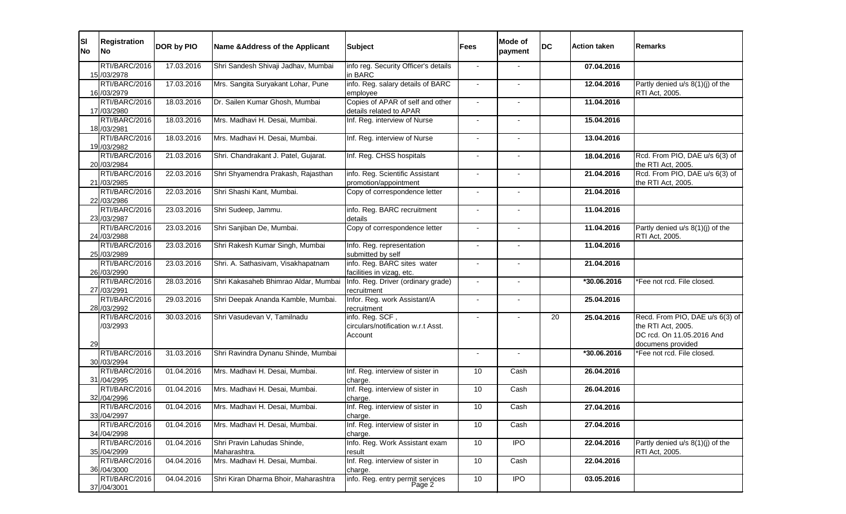| <b>SI</b><br><b>No</b> | <b>Registration</b><br><b>No</b> | DOR by PIO | Name & Address of the Applicant             | <b>Subject</b>                                                   | <b>Fees</b>     | <b>Mode of</b><br>payment | <b>DC</b> | <b>Action taken</b> | Remarks                                                                                                 |
|------------------------|----------------------------------|------------|---------------------------------------------|------------------------------------------------------------------|-----------------|---------------------------|-----------|---------------------|---------------------------------------------------------------------------------------------------------|
|                        | RTI/BARC/2016<br>15 /03/2978     | 17.03.2016 | Shri Sandesh Shivaji Jadhav, Mumbai         | info reg. Security Officer's details<br>in BARC                  |                 |                           |           | 07.04.2016          |                                                                                                         |
|                        | RTI/BARC/2016<br>16 / 03 / 2979  | 17.03.2016 | Mrs. Sangita Suryakant Lohar, Pune          | info. Reg. salary details of BARC<br>employee                    | $\sim$          |                           |           | 12.04.2016          | Partly denied u/s 8(1)(j) of the<br><b>RTI Act, 2005.</b>                                               |
|                        | RTI/BARC/2016<br>17 / 03/2980    | 18.03.2016 | Dr. Sailen Kumar Ghosh, Mumbai              | Copies of APAR of self and other<br>details related to APAR      |                 |                           |           | 11.04.2016          |                                                                                                         |
|                        | RTI/BARC/2016<br>18 / 03 / 2981  | 18.03.2016 | Mrs. Madhavi H. Desai, Mumbai.              | Inf. Reg. interview of Nurse                                     |                 |                           |           | 15.04.2016          |                                                                                                         |
|                        | RTI/BARC/2016<br>19 / 03 / 2982  | 18.03.2016 | Mrs. Madhavi H. Desai, Mumbai.              | Inf. Reg. interview of Nurse                                     | $\sim$          |                           |           | 13.04.2016          |                                                                                                         |
|                        | RTI/BARC/2016<br>20 /03/2984     | 21.03.2016 | Shri. Chandrakant J. Patel, Gujarat.        | Inf. Reg. CHSS hospitals                                         | $\sim$          | $\blacksquare$            |           | 18.04.2016          | Rcd. From PIO, DAE u/s 6(3) of<br>the RTI Act, 2005.                                                    |
|                        | RTI/BARC/2016<br>21 /03/2985     | 22.03.2016 | Shri Shyamendra Prakash, Rajasthan          | info. Reg. Scientific Assistant<br>promotion/appointment         | $\sim$          |                           |           | 21.04.2016          | Rcd. From PIO, DAE u/s 6(3) of<br>the RTI Act, 2005.                                                    |
|                        | RTI/BARC/2016<br>22 / 03 / 2986  | 22.03.2016 | Shri Shashi Kant, Mumbai.                   | Copy of correspondence letter                                    |                 |                           |           | 21.04.2016          |                                                                                                         |
|                        | RTI/BARC/2016<br>23 / 03 / 2987  | 23.03.2016 | Shri Sudeep, Jammu.                         | info. Reg. BARC recruitment<br>details                           |                 |                           |           | 11.04.2016          |                                                                                                         |
|                        | RTI/BARC/2016<br>24 / 03 / 2988  | 23.03.2016 | Shri Sanjiban De, Mumbai.                   | Copy of correspondence letter                                    | $\sim$          | $\blacksquare$            |           | 11.04.2016          | Partly denied u/s 8(1)(j) of the<br><b>RTI Act, 2005.</b>                                               |
|                        | RTI/BARC/2016<br>25 /03/2989     | 23.03.2016 | Shri Rakesh Kumar Singh, Mumbai             | Info. Reg. representation<br>submitted by self                   |                 | $\sim$                    |           | 11.04.2016          |                                                                                                         |
|                        | RTI/BARC/2016<br>26 /03/2990     | 23.03.2016 | Shri. A. Sathasivam, Visakhapatnam          | info. Reg. BARC sites water<br>facilities in vizag, etc.         |                 |                           |           | 21.04.2016          |                                                                                                         |
|                        | RTI/BARC/2016<br>27 / 03/2991    | 28.03.2016 | Shri Kakasaheb Bhimrao Aldar, Mumbai        | Info. Reg. Driver (ordinary grade)<br>recruitment                |                 |                           |           | *30.06.2016         | *Fee not rcd. File closed.                                                                              |
|                        | RTI/BARC/2016<br>28 / 03 / 299 2 | 29.03.2016 | Shri Deepak Ananda Kamble, Mumbai.          | Infor. Reg. work Assistant/A<br>recruitment                      |                 |                           |           | 25.04.2016          |                                                                                                         |
| 29                     | RTI/BARC/2016<br>/03/2993        | 30.03.2016 | Shri Vasudevan V, Tamilnadu                 | info. Reg. SCF,<br>circulars/notification w.r.t Asst.<br>Account | $\sim$          |                           | 20        | 25.04.2016          | Recd. From PIO, DAE u/s 6(3) of<br>the RTI Act, 2005.<br>DC rcd. On 11.05.2016 And<br>documens provided |
|                        | RTI/BARC/2016<br>30 /03/2994     | 31.03.2016 | Shri Ravindra Dynanu Shinde, Mumbai         |                                                                  |                 |                           |           | *30.06.2016         | *Fee not rcd. File closed.                                                                              |
|                        | RTI/BARC/2016<br>31 / 04/ 2995   | 01.04.2016 | Mrs. Madhavi H. Desai, Mumbai.              | Inf. Reg. interview of sister in<br>charge.                      | 10              | Cash                      |           | 26.04.2016          |                                                                                                         |
|                        | RTI/BARC/2016<br>32 / 04/2996    | 01.04.2016 | Mrs. Madhavi H. Desai, Mumbai.              | Inf. Reg. interview of sister in<br>charge.                      | 10 <sup>°</sup> | Cash                      |           | 26.04.2016          |                                                                                                         |
|                        | RTI/BARC/2016<br>33 / 04/2997    | 01.04.2016 | Mrs. Madhavi H. Desai, Mumbai.              | Inf. Reg. interview of sister in<br>charge.                      | 10              | Cash                      |           | 27.04.2016          |                                                                                                         |
|                        | RTI/BARC/2016<br>34 / 04/2998    | 01.04.2016 | Mrs. Madhavi H. Desai, Mumbai.              | Inf. Reg. interview of sister in<br>charge.                      | 10 <sup>°</sup> | Cash                      |           | 27.04.2016          |                                                                                                         |
|                        | RTI/BARC/2016<br>35 / 04/2999    | 01.04.2016 | Shri Pravin Lahudas Shinde,<br>Maharashtra. | Info. Reg. Work Assistant exam<br>result                         | 10              | <b>IPO</b>                |           | 22.04.2016          | Partly denied u/s 8(1)(j) of the<br>RTI Act, 2005.                                                      |
|                        | RTI/BARC/2016<br>36 / 04/3000    | 04.04.2016 | Mrs. Madhavi H. Desai, Mumbai.              | Inf. Reg. interview of sister in<br>charge.                      | 10              | Cash                      |           | 22.04.2016          |                                                                                                         |
|                        | RTI/BARC/2016<br>37 / 04/3001    | 04.04.2016 | Shri Kiran Dharma Bhoir, Maharashtra        | info. Reg. entry permit services<br>Page 2                       | 10              | $\overline{1}$            |           | 03.05.2016          |                                                                                                         |

| Remarks                                               |
|-------------------------------------------------------|
| Partly denied u/s 8(1)(j) of the                      |
| RTI Act, 2005.                                        |
|                                                       |
| Rcd. From PIO, DAE u/s 6(3) of<br>the RTI Act, 2005.  |
| Rcd. From PIO, DAE u/s 6(3) of<br>the RTI Act, 2005.  |
|                                                       |
| Partly denied u/s 8(1)(j) of the<br>RTI Act, 2005.    |
| *Fee not rcd. File closed.                            |
|                                                       |
| Recd. From PIO, DAE u/s 6(3) of<br>the RTI Act, 2005. |
| DC rcd. On 11.05.2016 And<br>documens provided        |
| *Fee not rcd. File closed.                            |
|                                                       |
|                                                       |
|                                                       |
| Partly denied u/s 8(1)(j) of the<br>RTI Act, 2005.    |
|                                                       |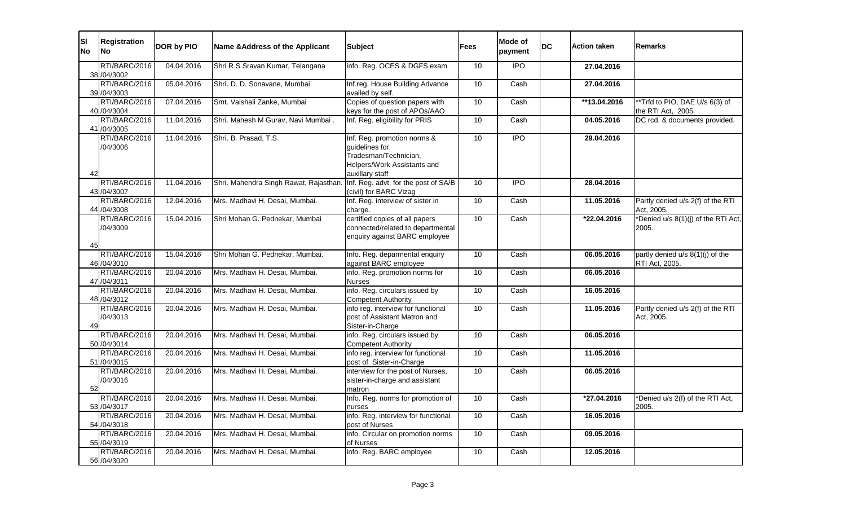| lsı<br><b>No</b> | Registration<br><b>No</b>        | DOR by PIO | Name & Address of the Applicant        | <b>Subject</b>                                                                                                           | Fees            | <b>Mode of</b><br>payment | <b>DC</b> | <b>Action taken</b> | Remarks                                              |
|------------------|----------------------------------|------------|----------------------------------------|--------------------------------------------------------------------------------------------------------------------------|-----------------|---------------------------|-----------|---------------------|------------------------------------------------------|
|                  | RTI/BARC/2016<br>38 / 04/3002    | 04.04.2016 | Shri R S Sravan Kumar, Telangana       | info. Reg. OCES & DGFS exam                                                                                              | 10              | <b>IPO</b>                |           | 27.04.2016          |                                                      |
|                  | RTI/BARC/2016<br>39 / 04/3003    | 05.04.2016 | Shri. D. D. Sonavane, Mumbai           | Inf.reg. House Building Advance<br>availed by self.                                                                      | 10              | Cash                      |           | 27.04.2016          |                                                      |
|                  | RTI/BARC/2016<br>40 /04/3004     | 07.04.2016 | Smt. Vaishali Zanke, Mumbai            | Copies of question papers with<br>keys for the post of APOs/AAO                                                          | 10              | Cash                      |           | **13.04.2016        | **Trfd to PIO, DAE U/s 6(3) of<br>the RTI Act, 2005. |
|                  | RTI/BARC/2016<br>41 /04/3005     | 11.04.2016 | Shri. Mahesh M Gurav, Navi Mumbai.     | Inf. Reg. eligibility for PRIS                                                                                           | 10              | Cash                      |           | 04.05.2016          | DC rcd. & documents provided.                        |
|                  | RTI/BARC/2016<br>/04/3006        | 11.04.2016 | Shri. B. Prasad, T.S.                  | Inf. Reg. promotion norms &<br>guidelines for<br>Tradesman/Technician,<br>Helpers/Work Assistants and<br>auxillary staff | 10              | <b>IPO</b>                |           | 29.04.2016          |                                                      |
|                  | RTI/BARC/2016<br>43 / 04/3007    | 11.04.2016 | Shri. Mahendra Singh Rawat, Rajasthan. | Inf. Reg. advt. for the post of SA/B<br>(civil) for BARC Vizag                                                           | 10              | <b>IPO</b>                |           | 28.04.2016          |                                                      |
|                  | RTI/BARC/2016<br>44 / 04 / 3008  | 12.04.2016 | Mrs. Madhavi H. Desai, Mumbai.         | Inf. Reg. interview of sister in<br>charge.                                                                              | 10              | Cash                      |           | 11.05.2016          | Partly denied u/s 2(f) of the RTI<br>Act, 2005.      |
| 45               | RTI/BARC/2016<br>/04/3009        | 15.04.2016 | Shri Mohan G. Pednekar, Mumbai         | certified copies of all papers<br>connected/related to departmental<br>enquiry against BARC employee                     | 10              | Cash                      |           | *22.04.2016         | *Denied u/s 8(1)(j) of the RTI Act,<br>2005.         |
|                  | RTI/BARC/2016<br>46 / 04/3010    | 15.04.2016 | Shri Mohan G. Pednekar, Mumbai.        | Info. Reg. deparmental enquiry<br>against BARC employee                                                                  | 10              | Cash                      |           | 06.05.2016          | partly denied u/s 8(1)(j) of the<br>RTI Act, 2005.   |
|                  | RTI/BARC/2016<br>47 / 04 / 30 11 | 20.04.2016 | Mrs. Madhavi H. Desai, Mumbai.         | info. Reg. promotion norms for<br><b>Nurses</b>                                                                          | 10              | Cash                      |           | 06.05.2016          |                                                      |
|                  | RTI/BARC/2016<br>48 / 04/3012    | 20.04.2016 | Mrs. Madhavi H. Desai, Mumbai.         | info. Reg. circulars issued by<br><b>Competent Authority</b>                                                             | 10              | Cash                      |           | 16.05.2016          |                                                      |
|                  | RTI/BARC/2016<br>/04/3013        | 20.04.2016 | Mrs. Madhavi H. Desai, Mumbai.         | info reg. interview for functional<br>post of Assistant Matron and<br>Sister-in-Charge                                   | 10              | Cash                      |           | 11.05.2016          | Partly denied u/s 2(f) of the RTI<br>Act, 2005.      |
|                  | RTI/BARC/2016<br>50 /04/3014     | 20.04.2016 | Mrs. Madhavi H. Desai, Mumbai.         | info. Reg. circulars issued by<br><b>Competent Authority</b>                                                             | 10              | Cash                      |           | 06.05.2016          |                                                      |
|                  | RTI/BARC/2016<br>51 /04/3015     | 20.04.2016 | Mrs. Madhavi H. Desai, Mumbai.         | info reg. interview for functional<br>post of Sister-in-Charge                                                           | 10              | Cash                      |           | 11.05.2016          |                                                      |
| 52               | RTI/BARC/2016<br>/04/3016        | 20.04.2016 | Mrs. Madhavi H. Desai, Mumbai.         | interview for the post of Nurses,<br>sister-in-charge and assistant<br>matron                                            | 10 <sup>°</sup> | Cash                      |           | 06.05.2016          |                                                      |
|                  | RTI/BARC/2016<br>53 / 04/3017    | 20.04.2016 | Mrs. Madhavi H. Desai, Mumbai.         | Info. Reg. norms for promotion of<br>nurses                                                                              | 10              | Cash                      |           | *27.04.2016         | *Denied u/s 2(f) of the RTI Act,<br>2005.            |
|                  | RTI/BARC/2016<br>54 /04/3018     | 20.04.2016 | Mrs. Madhavi H. Desai, Mumbai.         | info. Reg. interview for functional<br>post of Nurses                                                                    | 10 <sup>°</sup> | Cash                      |           | 16.05.2016          |                                                      |
|                  | RTI/BARC/2016<br>55 /04/3019     | 20.04.2016 | Mrs. Madhavi H. Desai, Mumbai.         | info. Circular on promotion norms<br>of Nurses                                                                           | 10              | Cash                      |           | 09.05.2016          |                                                      |
|                  | RTI/BARC/2016<br>56 / 04/3020    | 20.04.2016 | Mrs. Madhavi H. Desai, Mumbai.         | info. Reg. BARC employee                                                                                                 | 10              | Cash                      |           | 12.05.2016          |                                                      |

| Remarks                                                                                         |
|-------------------------------------------------------------------------------------------------|
|                                                                                                 |
|                                                                                                 |
| **Trfd to PIO, DAE U/s 6(3) of<br>the RTI Act, 2005.<br>DC rcd. & documents provided.           |
|                                                                                                 |
|                                                                                                 |
| Partly denied u/s 2(f) of the RTI<br>Act, 2005.<br>*Denied u/s 8(1)(j) of the RTI Act,<br>2005. |
| partly denied u/s 8(1)(j) of the<br>RTI Act, 2005.                                              |
|                                                                                                 |
|                                                                                                 |
| Partly denied u/s 2(f) of the RTI<br>Act, 2005.                                                 |
|                                                                                                 |
|                                                                                                 |
|                                                                                                 |
| *Denied u/s 2(f) of the RTI Act,<br>2005.                                                       |
|                                                                                                 |
|                                                                                                 |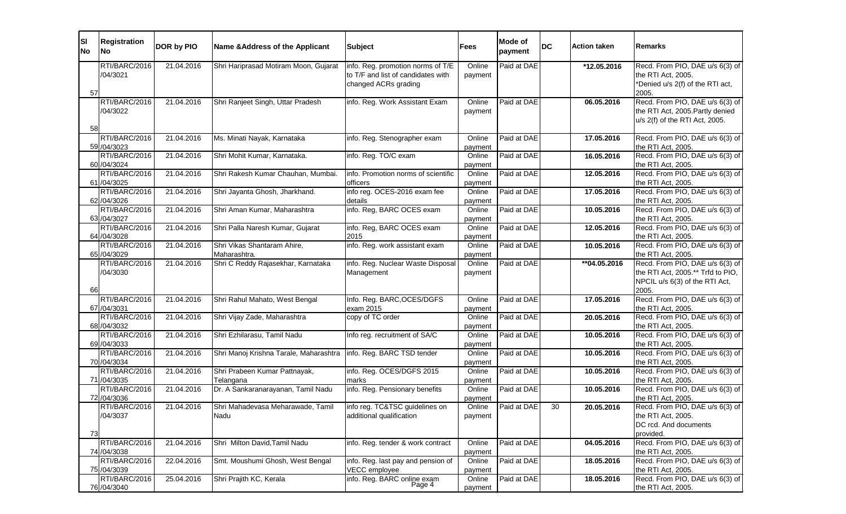| <b>SI</b><br><b>No</b> | <b>Registration</b><br> No    | DOR by PIO | Name & Address of the Applicant                                     | <b>Subject</b>                                                                                  | Fees              | <b>Mode of</b><br>payment | <b>DC</b> | <b>Action taken</b> | Remarks                                          |
|------------------------|-------------------------------|------------|---------------------------------------------------------------------|-------------------------------------------------------------------------------------------------|-------------------|---------------------------|-----------|---------------------|--------------------------------------------------|
| 57                     | RTI/BARC/2016<br>/04/3021     | 21.04.2016 | Shri Hariprasad Motiram Moon, Gujarat                               | info. Reg. promotion norms of T/E<br>to T/F and list of candidates with<br>changed ACRs grading | Online<br>payment | Paid at DAE               |           | *12.05.2016         | Recd. Fro<br>the RTI A<br>*Denied u<br>2005.     |
| 58                     | RTI/BARC/2016<br>/04/3022     | 21.04.2016 | Shri Ranjeet Singh, Uttar Pradesh                                   | info. Reg. Work Assistant Exam                                                                  | Online<br>payment | Paid at DAE               |           | 06.05.2016          | Recd. Fro<br>the RTI A<br>$u/s$ 2(f) of          |
|                        | RTI/BARC/2016<br>59 / 04/3023 | 21.04.2016 | Ms. Minati Nayak, Karnataka                                         | info. Reg. Stenographer exam                                                                    | Online<br>payment | Paid at DAE               |           | 17.05.2016          | Recd. Fro<br>the RTI A                           |
|                        | RTI/BARC/2016<br>60 / 04/3024 | 21.04.2016 | Shri Mohit Kumar, Karnataka.                                        | info. Reg. TO/C exam                                                                            | Online<br>payment | Paid at DAE               |           | 16.05.2016          | Recd. Fro<br>the RTI A                           |
|                        | RTI/BARC/2016<br>61 / 04/3025 | 21.04.2016 | Shri Rakesh Kumar Chauhan, Mumbai.                                  | info. Promotion norms of scientific<br>officers                                                 | Online<br>payment | Paid at DAE               |           | 12.05.2016          | Recd. Fro<br>the RTI A                           |
|                        | RTI/BARC/2016<br>62 / 04/3026 | 21.04.2016 | Shri Jayanta Ghosh, Jharkhand.                                      | info reg. OCES-2016 exam fee<br>details                                                         | Online<br>payment | Paid at DAE               |           | 17.05.2016          | Recd. Fro<br>the RTI A                           |
|                        | RTI/BARC/2016<br>63 / 04/3027 | 21.04.2016 | Shri Aman Kumar, Maharashtra                                        | info. Reg, BARC OCES exam                                                                       | Online<br>payment | Paid at DAE               |           | 10.05.2016          | Recd. Fro<br>the RTI A                           |
|                        | RTI/BARC/2016<br>64 / 04/3028 | 21.04.2016 | Shri Palla Naresh Kumar, Gujarat                                    | info. Reg, BARC OCES exam<br>2015                                                               | Online<br>payment | Paid at DAE               |           | 12.05.2016          | Recd. Fro<br>the RTI A                           |
|                        | RTI/BARC/2016<br>65 / 04/3029 | 21.04.2016 | Shri Vikas Shantaram Ahire,<br>Maharashtra.                         | info. Reg. work assistant exam                                                                  | Online<br>payment | Paid at DAE               |           | 10.05.2016          | Recd. Fro<br>the RTI A                           |
| 66                     | RTI/BARC/2016<br>/04/3030     | 21.04.2016 | Shri C Reddy Rajasekhar, Karnataka                                  | info. Reg. Nuclear Waste Disposal<br>Management                                                 | Online<br>payment | Paid at DAE               |           | **04.05.2016        | Recd. Fro<br>the RTI A<br>NPCIL u/<br>2005.      |
|                        | RTI/BARC/2016<br>67 / 04/3031 | 21.04.2016 | Shri Rahul Mahato, West Bengal                                      | Info. Reg. BARC, OCES/DGFS<br>exam 2015                                                         | Online<br>payment | Paid at DAE               |           | 17.05.2016          | Recd. Fro<br>the RTI A                           |
|                        | RTI/BARC/2016<br>68 / 04/3032 | 21.04.2016 | Shri Vijay Zade, Maharashtra                                        | copy of TC order                                                                                | Online<br>payment | Paid at DAE               |           | 20.05.2016          | Recd. Fro<br>the RTI A                           |
|                        | RTI/BARC/2016<br>69 / 04/3033 | 21.04.2016 | Shri Ezhilarasu, Tamil Nadu                                         | Info reg. recruitment of SA/C                                                                   | Online<br>payment | Paid at DAE               |           | 10.05.2016          | Recd. Fro<br>the RTI A                           |
|                        | RTI/BARC/2016<br>70 / 04/3034 | 21.04.2016 | Shri Manoj Krishna Tarale, Maharashtra   info. Reg. BARC TSD tender |                                                                                                 | Online<br>payment | Paid at DAE               |           | 10.05.2016          | Recd. Fro<br>the RTI A                           |
|                        | RTI/BARC/2016<br>71 /04/3035  | 21.04.2016 | Shri Prabeen Kumar Pattnayak,<br>Telangana                          | info. Reg. OCES/DGFS 2015<br>marks                                                              | Online<br>payment | Paid at DAE               |           | 10.05.2016          | Recd. Fro<br>the RTI A                           |
|                        | RTI/BARC/2016<br>72 /04/3036  | 21.04.2016 | Dr. A Sankaranarayanan, Tamil Nadu                                  | info. Reg. Pensionary benefits                                                                  | Online<br>payment | Paid at DAE               |           | 10.05.2016          | Recd. Fro<br>the RTI A                           |
| 73                     | RTI/BARC/2016<br>/04/3037     | 21.04.2016 | Shri Mahadevasa Meharawade, Tamil<br>Nadu                           | info reg. TC&TSC guidelines on<br>additional qualification                                      | Online<br>payment | Paid at DAE               | 30        | 20.05.2016          | Recd. Fro<br>the RTI A<br>DC rcd. A<br>provided. |
|                        | RTI/BARC/2016<br>74 / 04/3038 | 21.04.2016 | Shri Milton David, Tamil Nadu                                       | info. Reg. tender & work contract                                                               | Online<br>payment | Paid at DAE               |           | 04.05.2016          | Recd. Fro<br>the RTI A                           |
|                        | RTI/BARC/2016<br>75 /04/3039  | 22.04.2016 | Smt. Moushumi Ghosh, West Bengal                                    | info. Reg. last pay and pension of<br>VECC employee                                             | Online<br>payment | Paid at DAE               |           | 18.05.2016          | Recd. Fro<br>the RTI A                           |
|                        | RTI/BARC/2016<br>76 / 04/3040 | 25.04.2016 | Shri Prajith KC, Kerala                                             | info. Reg. BARC online exam<br>Page 4                                                           | Online<br>payment | Paid at DAE               |           | 18.05.2016          | Recd. Fro<br>the RTI A                           |

ecd. From PIO, DAE u/s 6(3) of e RTI Act, 2005. Denied u/s 2(f) of the RTI act, 2005. ecd. From PIO, DAE u/s 6(3) of he RTI Act, 2005.Partly denied  $\sqrt{s}$  2(f) of the RTI Act, 2005. ecd. From PIO, DAE u/s 6(3) of e RTI Act, 2005. ecd. From PIO, DAE u/s 6(3) of e RTI Act, 2005. ecd. From PIO, DAE u/s 6(3) of e RTI Act, 2005. ecd. From PIO, DAE u/s 6(3) of e RTI Act, 2005. ecd. From PIO, DAE u/s 6(3) of e RTI Act, 2005. ecd. From PIO, DAE u/s 6(3) of e RTI Act, 2005. ecd. From PIO, DAE u/s 6(3) of e RTI Act, 2005. ecd. From PIO, DAE u/s 6(3) of e RTI Act, 2005.\*\* Trfd to PIO, PCIL u/s 6(3) of the RTI Act, 2005. ecd. From PIO, DAE u/s 6(3) of e RTI Act, 2005. ecd. From PIO, DAE u/s 6(3) of e RTI Act, 2005. ecd. From PIO, DAE u/s 6(3) of e RTI Act, 2005. ecd. From PIO, DAE u/s 6(3) of e RTI Act, 2005. ecd. From PIO, DAE u/s 6(3) of e RTI Act, 2005. ecd. From PIO, DAE u/s 6(3) of e RTI Act, 2005. ecd. From PIO, DAE u/s 6(3) of e RTI Act, 2005. C rcd. And documents ovided. ecd. From PIO, DAE u/s 6(3) of e RTI Act, 2005. ecd. From PIO, DAE u/s 6(3) of e RTI Act, 2005. ecd. From PIO, DAE u/s 6(3) of e RTI Act, 2005.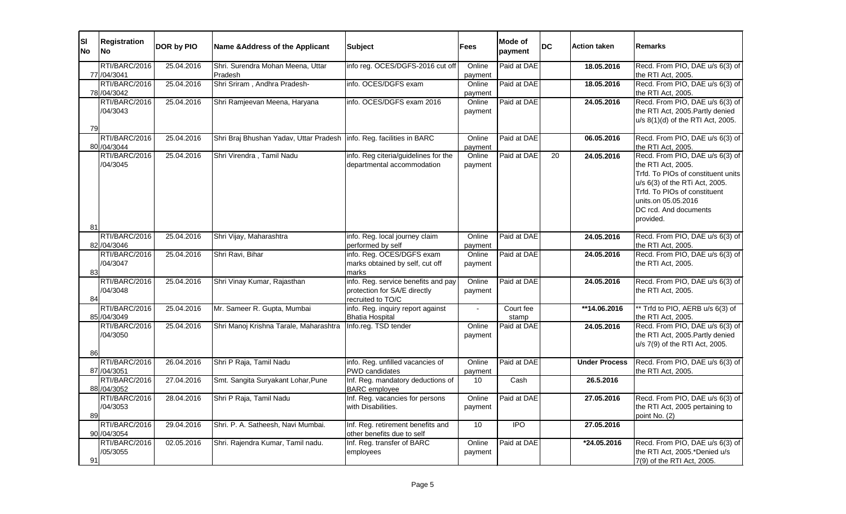| <b>SI</b><br><b>No</b> | Registration<br><b>No</b>                 | DOR by PIO | <b>Name &amp;Address of the Applicant</b>                              | <b>Subject</b>                                                                             | <b>Fees</b>                  | <b>Mode of</b><br>payment | <b>DC</b> | <b>Action taken</b>  | <b>Remarks</b>                                                                                                                                                                                                             |
|------------------------|-------------------------------------------|------------|------------------------------------------------------------------------|--------------------------------------------------------------------------------------------|------------------------------|---------------------------|-----------|----------------------|----------------------------------------------------------------------------------------------------------------------------------------------------------------------------------------------------------------------------|
|                        | RTI/BARC/2016<br>77 /04/3041              | 25.04.2016 | Shri. Surendra Mohan Meena, Uttar<br>Pradesh                           | info reg. OCES/DGFS-2016 cut off                                                           | Online<br>payment            | Paid at DAE               |           | 18.05.2016           | Recd. From PIO, DAE u/s 6(3) of<br>the RTI Act, 2005.                                                                                                                                                                      |
|                        | RTI/BARC/2016<br>78 / 04/3042             | 25.04.2016 | Shri Sriram, Andhra Pradesh-                                           | info. OCES/DGFS exam                                                                       | Online<br>payment            | Paid at DAE               |           | 18.05.2016           | Recd. From PIO, DAE u/s 6(3) of<br>the RTI Act, 2005.                                                                                                                                                                      |
| 79                     | RTI/BARC/2016<br>/04/3043                 | 25.04.2016 | Shri Ramjeevan Meena, Haryana                                          | info. OCES/DGFS exam 2016                                                                  | Online<br>payment            | Paid at DAE               |           | 24.05.2016           | Recd. From PIO, DAE u/s 6(3) of<br>the RTI Act, 2005. Partly denied<br>u/s 8(1)(d) of the RTI Act, 2005.                                                                                                                   |
|                        | RTI/BARC/2016<br>80 / 04/3044             | 25.04.2016 | Shri Braj Bhushan Yadav, Uttar Pradesh   info. Reg. facilities in BARC |                                                                                            | Online<br>payment            | Paid at DAE               |           | 06.05.2016           | Recd. From PIO, DAE u/s 6(3) of<br>the RTI Act, 2005.                                                                                                                                                                      |
|                        | RTI/BARC/2016<br>/04/3045                 | 25.04.2016 | Shri Virendra, Tamil Nadu                                              | info. Reg citeria/guidelines for the<br>departmental accommodation                         | Online<br>payment            | Paid at DAE               | 20        | 24.05.2016           | Recd. From PIO, DAE u/s 6(3) of<br>the RTI Act, 2005.<br>Trfd. To PIOs of constituent units<br>u/s 6(3) of the RTi Act, 2005.<br>Trfd. To PIOs of constituent<br>units.on 05.05.2016<br>DC rcd. And documents<br>provided. |
| 81                     | RTI/BARC/2016                             | 25.04.2016 | Shri Vijay, Maharashtra                                                | info. Reg. local journey claim                                                             | Online                       | Paid at DAE               |           | 24.05.2016           | Recd. From PIO, DAE u/s 6(3) of                                                                                                                                                                                            |
| 83                     | 82 / 04/3046<br>RTI/BARC/2016<br>/04/3047 | 25.04.2016 | Shri Ravi, Bihar                                                       | performed by self<br>info. Reg. OCES/DGFS exam<br>marks obtained by self, cut off<br>marks | payment<br>Online<br>payment | Paid at DAE               |           | 24.05.2016           | the RTI Act, 2005.<br>Recd. From PIO, DAE u/s 6(3) of<br>the RTI Act, 2005.                                                                                                                                                |
| 84                     | RTI/BARC/2016<br>/04/3048                 | 25.04.2016 | Shri Vinay Kumar, Rajasthan                                            | info. Reg. service benefits and pay<br>protection for SA/E directly<br>recruited to TO/C   | Online<br>payment            | Paid at DAE               |           | 24.05.2016           | Recd. From PIO, DAE u/s 6(3) of<br>the RTI Act, 2005.                                                                                                                                                                      |
|                        | RTI/BARC/2016<br>85 / 04/3049             | 25.04.2016 | Mr. Sameer R. Gupta, Mumbai                                            | info. Reg. inquiry report against<br><b>Bhatia Hospital</b>                                |                              | Court fee<br>stamp        |           | **14.06.2016         | ** Trfd to PIO, AERB u/s 6(3) of<br>the RTI Act, 2005.                                                                                                                                                                     |
| 86                     | RTI/BARC/2016<br>/04/3050                 | 25.04.2016 | Shri Manoj Krishna Tarale, Maharashtra                                 | Info.reg. TSD tender                                                                       | Online<br>payment            | Paid at DAE               |           | 24.05.2016           | Recd. From PIO, DAE u/s 6(3) of<br>the RTI Act, 2005. Partly denied<br>u/s 7(9) of the RTI Act, 2005.                                                                                                                      |
|                        | RTI/BARC/2016<br>87 / 04/3051             | 26.04.2016 | Shri P Raja, Tamil Nadu                                                | info. Reg. unfilled vacancies of<br>PWD candidates                                         | Online<br>payment            | Paid at DAE               |           | <b>Under Process</b> | Recd. From PIO, DAE u/s 6(3) of<br>the RTI Act, 2005.                                                                                                                                                                      |
|                        | RTI/BARC/2016<br>88 / 04/3052             | 27.04.2016 | Smt. Sangita Suryakant Lohar, Pune                                     | Inf. Reg. mandatory deductions of<br><b>BARC</b> employee                                  | 10                           | Cash                      |           | 26.5.2016            |                                                                                                                                                                                                                            |
| 89                     | RTI/BARC/2016<br>/04/3053                 | 28.04.2016 | Shri P Raja, Tamil Nadu                                                | Inf. Reg. vacancies for persons<br>with Disabilities.                                      | Online<br>payment            | Paid at DAE               |           | 27.05.2016           | Recd. From PIO, DAE u/s 6(3) of<br>the RTI Act, 2005 pertaining to<br>point No. (2)                                                                                                                                        |
|                        | RTI/BARC/2016<br>90 / 04/3054             | 29.04.2016 | Shri. P. A. Satheesh, Navi Mumbai.                                     | Inf. Reg. retirement benefits and<br>other benefits due to self                            | 10                           | $\overline{IPO}$          |           | 27.05.2016           |                                                                                                                                                                                                                            |
| 91                     | RTI/BARC/2016<br>/05/3055                 | 02.05.2016 | Shri. Rajendra Kumar, Tamil nadu.                                      | Inf. Reg. transfer of BARC<br>employees                                                    | Online<br>payment            | Paid at DAE               |           | *24.05.2016          | Recd. From PIO, DAE u/s 6(3) of<br>the RTI Act, 2005.*Denied u/s<br>7(9) of the RTI Act, 2005.                                                                                                                             |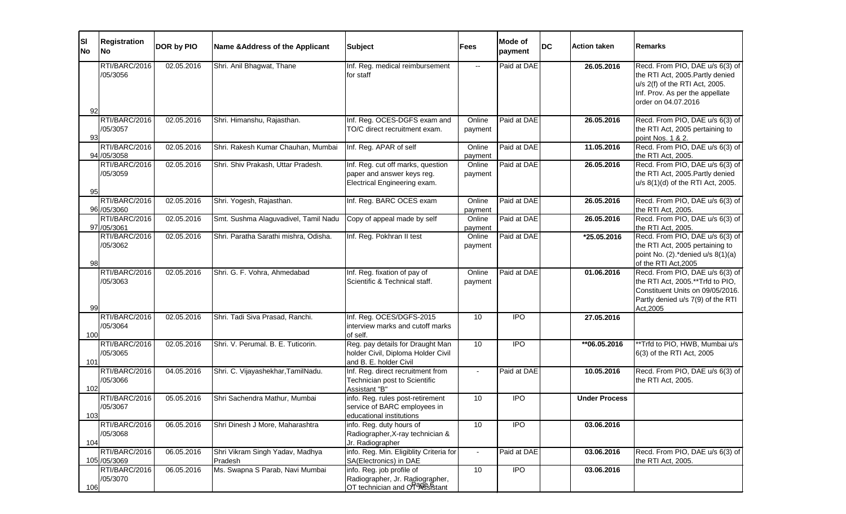| <b>SI</b><br><b>No</b> | Registration<br><b>No</b>        | DOR by PIO | <b>Name &amp; Address of the Applicant</b> | <b>Subject</b>                                                                                   | <b>Fees</b>              | <b>Mode of</b><br>payment | <b>DC</b> | <b>Action taken</b>  | <b>Remarks</b>                                                                                                                                                  |
|------------------------|----------------------------------|------------|--------------------------------------------|--------------------------------------------------------------------------------------------------|--------------------------|---------------------------|-----------|----------------------|-----------------------------------------------------------------------------------------------------------------------------------------------------------------|
| 92                     | RTI/BARC/2016<br>/05/3056        | 02.05.2016 | Shri. Anil Bhagwat, Thane                  | Inf. Reg. medical reimbursement<br>for staff                                                     | $\overline{\phantom{a}}$ | Paid at DAE               |           | 26.05.2016           | Recd. From PIO, DAE u/s 6(3) of<br>the RTI Act, 2005. Partly denied<br>u/s 2(f) of the RTI Act, 2005.<br>Inf. Prov. As per the appellate<br>order on 04.07.2016 |
| 93                     | RTI/BARC/2016<br>/05/3057        | 02.05.2016 | Shri. Himanshu, Rajasthan.                 | Inf. Reg. OCES-DGFS exam and<br>TO/C direct recruitment exam.                                    | Online<br>payment        | Paid at DAE               |           | 26.05.2016           | Recd. From PIO, DAE u/s 6(3) of<br>the RTI Act, 2005 pertaining to<br>point Nos. 1 & 2.                                                                         |
|                        | RTI/BARC/2016<br>94 /05/3058     | 02.05.2016 | Shri. Rakesh Kumar Chauhan, Mumbai         | Inf. Reg. APAR of self                                                                           | Online<br>payment        | Paid at DAE               |           | 11.05.2016           | Recd. From PIO, DAE u/s 6(3) of<br>the RTI Act, 2005.                                                                                                           |
| 95                     | RTI/BARC/2016<br>/05/3059        | 02.05.2016 | Shri. Shiv Prakash, Uttar Pradesh.         | Inf. Reg. cut off marks, question<br>paper and answer keys reg.<br>Electrical Engineering exam.  | Online<br>payment        | Paid at DAE               |           | 26.05.2016           | Recd. From PIO, DAE u/s 6(3) of<br>the RTI Act, 2005. Partly denied<br>u/s 8(1)(d) of the RTI Act, 2005.                                                        |
|                        | RTI/BARC/2016<br>96 / 05/3060    | 02.05.2016 | Shri. Yogesh, Rajasthan.                   | Inf. Reg. BARC OCES exam                                                                         | Online<br>payment        | Paid at DAE               |           | 26.05.2016           | Recd. From PIO, DAE u/s 6(3) of<br>the RTI Act, 2005.                                                                                                           |
|                        | RTI/BARC/2016<br>97 / 05/3061    | 02.05.2016 | Smt. Sushma Alaguvadivel, Tamil Nadu       | Copy of appeal made by self                                                                      | Online<br>payment        | Paid at DAE               |           | 26.05.2016           | Recd. From PIO, DAE u/s 6(3) of<br>the RTI Act, 2005.                                                                                                           |
| 98                     | RTI/BARC/2016<br>/05/3062        | 02.05.2016 | Shri. Paratha Sarathi mishra, Odisha.      | Inf. Reg. Pokhran II test                                                                        | Online<br>payment        | Paid at DAE               |           | *25.05.2016          | Recd. From PIO, DAE u/s 6(3) of<br>the RTI Act, 2005 pertaining to<br>point No. (2).*denied u/s 8(1)(a)<br>of the RTI Act, 2005                                 |
| 99                     | RTI/BARC/2016<br>/05/3063        | 02.05.2016 | Shri. G. F. Vohra, Ahmedabad               | Inf. Reg. fixation of pay of<br>Scientific & Technical staff.                                    | Online<br>payment        | Paid at DAE               |           | 01.06.2016           | Recd. From PIO, DAE u/s 6(3) of<br>the RTI Act, 2005.**Trfd to PIO,<br>Constituent Units on 09/05/2016.<br>Partly denied u/s 7(9) of the RTI<br>Act, 2005       |
| 100                    | RTI/BARC/2016<br>/05/3064        | 02.05.2016 | Shri. Tadi Siva Prasad, Ranchi.            | Inf. Reg. OCES/DGFS-2015<br>interview marks and cutoff marks<br>of self.                         | 10                       | <b>IPO</b>                |           | 27.05.2016           |                                                                                                                                                                 |
| 101                    | RTI/BARC/2016<br>/05/3065        | 02.05.2016 | Shri. V. Perumal. B. E. Tuticorin.         | Reg. pay details for Draught Man<br>holder Civil, Diploma Holder Civil<br>and B. E. holder Civil | 10                       | <b>IPO</b>                |           | **06.05.2016         | ** Trfd to PIO, HWB, Mumbai u/s<br>6(3) of the RTI Act, 2005                                                                                                    |
| 102                    | RTI/BARC/2016<br>/05/3066        | 04.05.2016 | Shri. C. Vijayashekhar, TamilNadu.         | Inf. Reg. direct recruitment from<br>Technician post to Scientific<br>Assistant "B"              | $\blacksquare$           | Paid at DAE               |           | 10.05.2016           | Recd. From PIO, DAE u/s 6(3) of<br>the RTI Act, 2005.                                                                                                           |
| 103                    | RTI/BARC/2016<br>/05/3067        | 05.05.2016 | Shri Sachendra Mathur, Mumbai              | info. Reg. rules post-retirement<br>service of BARC employees in<br>educational institutions     | 10                       | <b>IPO</b>                |           | <b>Under Process</b> |                                                                                                                                                                 |
| 104                    | RTI/BARC/2016<br>/05/3068        | 06.05.2016 | Shri Dinesh J More, Maharashtra            | info. Reg. duty hours of<br>Radiographer, X-ray technician &<br>Jr. Radiographer                 | 10 <sup>°</sup>          | <b>IPO</b>                |           | 03.06.2016           |                                                                                                                                                                 |
|                        | RTI/BARC/2016<br>105 / 05 / 3069 | 06.05.2016 | Shri Vikram Singh Yadav, Madhya<br>Pradesh | info. Reg. Min. Eligiblity Criteria for<br>SA(Electronics) in DAE                                | $\sim$                   | Paid at DAE               |           | 03.06.2016           | Recd. From PIO, DAE u/s 6(3) of<br>the RTI Act, 2005.                                                                                                           |
| 106                    | RTI/BARC/2016<br>/05/3070        | 06.05.2016 | Ms. Swapna S Parab, Navi Mumbai            | info. Reg. job profile of<br>Radiographer, Jr. Radiographer,<br>OT technician and Orage Stant    | 10 <sup>°</sup>          | <b>IPO</b>                |           | 03.06.2016           |                                                                                                                                                                 |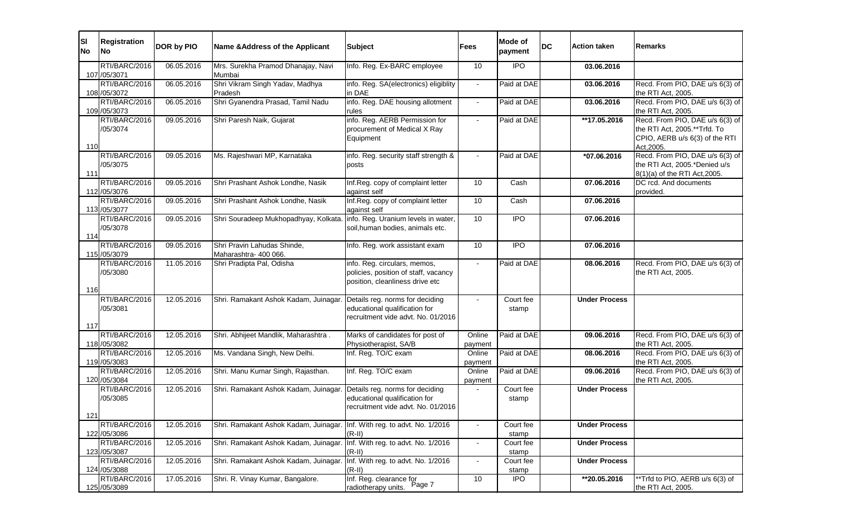| <b>SI</b><br><b>No</b> | Registration<br><b>No</b>      | DOR by PIO | Name & Address of the Applicant       | <b>Subject</b>                                      | <b>Fees</b>     | <b>Mode of</b><br>payment | <b>DC</b> | <b>Action taken</b>  | lRemarks                                              |
|------------------------|--------------------------------|------------|---------------------------------------|-----------------------------------------------------|-----------------|---------------------------|-----------|----------------------|-------------------------------------------------------|
|                        | RTI/BARC/2016                  | 06.05.2016 | Mrs. Surekha Pramod Dhanajay, Navi    | Info. Reg. Ex-BARC employee                         | 10              | <b>IPO</b>                |           | 03.06.2016           |                                                       |
|                        | 107 /05/3071                   |            | Mumbai                                |                                                     |                 |                           |           |                      |                                                       |
|                        | RTI/BARC/2016                  | 06.05.2016 | Shri Vikram Singh Yadav, Madhya       | info. Reg. SA(electronics) eligiblity               | $\sim$          | Paid at DAE               |           | 03.06.2016           | Recd. From PIO, DAE u/s 6(3) of                       |
|                        | 108 / 05/3072                  |            | Pradesh                               | in DAE                                              |                 |                           |           |                      | the RTI Act, 2005.                                    |
|                        | RTI/BARC/2016                  | 06.05.2016 | Shri Gyanendra Prasad, Tamil Nadu     | info. Reg. DAE housing allotment                    |                 | Paid at DAE               |           | 03.06.2016           | Recd. From PIO, DAE u/s 6(3) of                       |
|                        | 109 / 05/3073<br>RTI/BARC/2016 | 09.05.2016 | Shri Paresh Naik, Gujarat             | rules<br>info. Reg. AERB Permission for             | $\sim$          | Paid at DAE               |           | **17.05.2016         | the RTI Act, 2005.<br>Recd. From PIO, DAE u/s 6(3) of |
|                        | /05/3074                       |            |                                       | procurement of Medical X Ray                        |                 |                           |           |                      | the RTI Act, 2005.**Trfd. To                          |
|                        |                                |            |                                       | Equipment                                           |                 |                           |           |                      | CPIO, AERB u/s 6(3) of the RTI                        |
| 110                    |                                |            |                                       |                                                     |                 |                           |           |                      | Act, 2005.                                            |
|                        | RTI/BARC/2016                  | 09.05.2016 | Ms. Rajeshwari MP, Karnataka          | info. Reg. security staff strength &                |                 | Paid at DAE               |           | *07.06.2016          | Recd. From PIO, DAE u/s 6(3) of                       |
|                        | /05/3075                       |            |                                       | posts                                               |                 |                           |           |                      | the RTI Act, 2005.*Denied u/s                         |
| 111                    |                                |            |                                       |                                                     |                 |                           |           |                      | 8(1)(a) of the RTI Act, 2005.                         |
|                        | RTI/BARC/2016                  | 09.05.2016 | Shri Prashant Ashok Londhe, Nasik     | Inf.Reg. copy of complaint letter                   | 10              | Cash                      |           | 07.06.2016           | DC rcd. And documents                                 |
|                        | 112 /05/3076                   |            |                                       | against self                                        |                 |                           |           |                      | provided.                                             |
|                        | RTI/BARC/2016                  | 09.05.2016 | Shri Prashant Ashok Londhe, Nasik     | Inf.Reg. copy of complaint letter                   | 10              | Cash                      |           | 07.06.2016           |                                                       |
|                        | 113 /05/3077<br>RTI/BARC/2016  | 09.05.2016 | Shri Souradeep Mukhopadhyay, Kolkata. | against self<br>info. Reg. Uranium levels in water, | 10              | <b>IPO</b>                |           | 07.06.2016           |                                                       |
|                        | /05/3078                       |            |                                       | soil, human bodies, animals etc.                    |                 |                           |           |                      |                                                       |
| 114                    |                                |            |                                       |                                                     |                 |                           |           |                      |                                                       |
|                        | RTI/BARC/2016                  | 09.05.2016 | Shri Pravin Lahudas Shinde,           | Info. Reg. work assistant exam                      | 10              | <b>IPO</b>                |           | 07.06.2016           |                                                       |
|                        | 115 /05/3079                   |            | Maharashtra- 400 066.                 |                                                     |                 |                           |           |                      |                                                       |
|                        | RTI/BARC/2016                  | 11.05.2016 | Shri Pradipta Pal, Odisha             | info. Reg. circulars, memos,                        | $\sim$          | Paid at DAE               |           | 08.06.2016           | Recd. From PIO, DAE u/s 6(3) of                       |
|                        | /05/3080                       |            |                                       | policies, position of staff, vacancy                |                 |                           |           |                      | the RTI Act, 2005.                                    |
|                        |                                |            |                                       | position, cleanliness drive etc                     |                 |                           |           |                      |                                                       |
| 116                    | RTI/BARC/2016                  | 12.05.2016 | Shri. Ramakant Ashok Kadam, Juinagar. | Details reg. norms for deciding                     |                 | Court fee                 |           | <b>Under Process</b> |                                                       |
|                        | /05/3081                       |            |                                       | educational qualification for                       |                 | stamp                     |           |                      |                                                       |
|                        |                                |            |                                       | recruitment vide advt. No. 01/2016                  |                 |                           |           |                      |                                                       |
| 117                    |                                |            |                                       |                                                     |                 |                           |           |                      |                                                       |
|                        | RTI/BARC/2016                  | 12.05.2016 | Shri. Abhijeet Mandlik, Maharashtra.  | Marks of candidates for post of                     | Online          | Paid at DAE               |           | 09.06.2016           | Recd. From PIO, DAE u/s 6(3) of                       |
|                        | 118 / 05/3082                  |            |                                       | Physiotherapist, SA/B                               | payment         |                           |           |                      | the RTI Act, 2005.                                    |
|                        | RTI/BARC/2016                  | 12.05.2016 | Ms. Vandana Singh, New Delhi.         | Inf. Reg. TO/C exam                                 | Online          | Paid at DAE               |           | 08.06.2016           | Recd. From PIO, DAE u/s 6(3) of                       |
|                        | 119 / 05/3083                  |            |                                       |                                                     | payment         |                           |           |                      | the RTI Act, 2005.                                    |
|                        | RTI/BARC/2016                  | 12.05.2016 | Shri. Manu Kumar Singh, Rajasthan.    | Inf. Reg. TO/C exam                                 | Online          | Paid at DAE               |           | 09.06.2016           | Recd. From PIO, DAE u/s 6(3) of                       |
|                        | 120 / 05/3084<br>RTI/BARC/2016 | 12.05.2016 | Shri. Ramakant Ashok Kadam, Juinagar. | Details reg. norms for deciding                     | payment         | Court fee                 |           | <b>Under Process</b> | the RTI Act, 2005.                                    |
|                        | /05/3085                       |            |                                       | educational qualification for                       |                 | stamp                     |           |                      |                                                       |
|                        |                                |            |                                       | recruitment vide advt. No. 01/2016                  |                 |                           |           |                      |                                                       |
| 121                    |                                |            |                                       |                                                     |                 |                           |           |                      |                                                       |
|                        | RTI/BARC/2016                  | 12.05.2016 | Shri. Ramakant Ashok Kadam, Juinagar. | Inf. With reg. to advt. No. 1/2016                  |                 | Court fee                 |           | <b>Under Process</b> |                                                       |
|                        | 122 /05/3086                   |            |                                       | $(R-II)$                                            |                 | stamp                     |           |                      |                                                       |
|                        | RTI/BARC/2016                  | 12.05.2016 | Shri. Ramakant Ashok Kadam, Juinagar. | Inf. With reg. to advt. No. 1/2016                  |                 | Court fee                 |           | <b>Under Process</b> |                                                       |
|                        | 123 / 05/3087                  |            |                                       | $(R-II)$                                            |                 | stamp                     |           |                      |                                                       |
|                        | RTI/BARC/2016                  | 12.05.2016 | Shri. Ramakant Ashok Kadam, Juinagar. | Inf. With reg. to advt. No. 1/2016                  | $\sim$          | Court fee                 |           | <b>Under Process</b> |                                                       |
|                        | 124 / 05/3088<br>RTI/BARC/2016 | 17.05.2016 | Shri. R. Vinay Kumar, Bangalore.      | $(R-II)$<br>Inf. Reg. clearance for                 | 10 <sup>°</sup> | stamp<br><b>IPO</b>       |           | **20.05.2016         | **Trfd to PIO, AERB u/s 6(3) of                       |
|                        | 125 /05/3089                   |            |                                       | Page 7<br>radiotherapy units.                       |                 |                           |           |                      | the RTI Act, 2005.                                    |

| Remarks                                                                                                                                                                                                                                                                                                                                                                             |
|-------------------------------------------------------------------------------------------------------------------------------------------------------------------------------------------------------------------------------------------------------------------------------------------------------------------------------------------------------------------------------------|
| Recd. From PIO, DAE u/s 6(3) of<br>the RTI Act, 2005.<br>Recd. From PIO, DAE u/s 6(3) of<br><u>the RTI Act, 2005.</u><br>Recd. From PIO, DAE u/s 6(3) of<br>the RTI Act, 2005.**Trfd. To<br>CPIO, AERB u/s 6(3) of the RTI<br>Act, 2005.<br>Recd. From PIO, DAE u/s 6(3) of<br>the RTI Act, 2005.*Denied u/s<br>8(1)(a) of the RTI Act, 2005.<br>DC rcd. And documents<br>provided. |
|                                                                                                                                                                                                                                                                                                                                                                                     |
| Recd. From PIO, DAE u/s 6(3) of<br>the RTI Act, 2005.                                                                                                                                                                                                                                                                                                                               |
| Recd. From PIO, DAE u/s 6(3) of                                                                                                                                                                                                                                                                                                                                                     |
| the RTI Act, 2005.<br>Recd. From PIO, DAE u/s 6(3) of<br>the RTI Act, 2005.<br>Recd. From PIO, DAE u/s 6(3) of<br>the RTI Act, 2005.                                                                                                                                                                                                                                                |
|                                                                                                                                                                                                                                                                                                                                                                                     |
|                                                                                                                                                                                                                                                                                                                                                                                     |
| **Trfd to PIO, AERB u/s 6(3) of<br>the RTI Act, 2005.                                                                                                                                                                                                                                                                                                                               |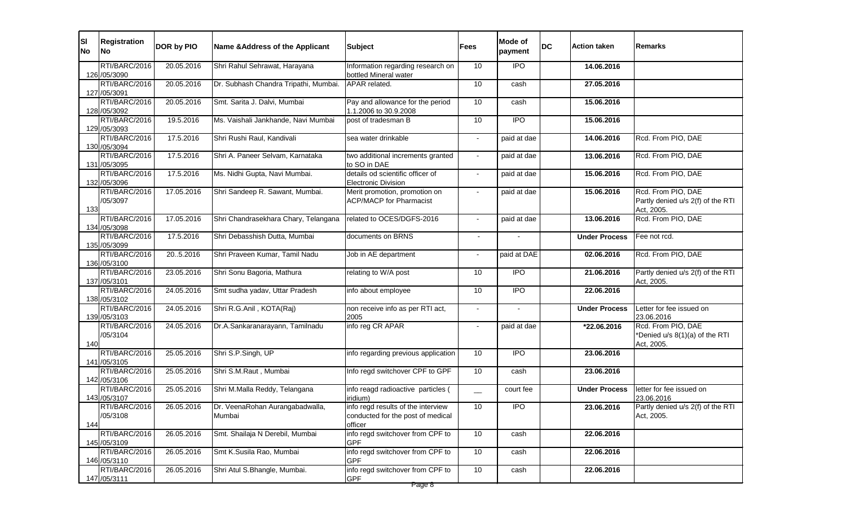| SI<br><b>No</b> | <b>Registration</b><br><b>No</b> | DOR by PIO | <b>Name &amp; Address of the Applicant</b> | <b>Subject</b>                                                                     | <b>Fees</b>              | Mode of<br>payment | <b>DC</b> | <b>Action taken</b>  | Remarks                                                               |
|-----------------|----------------------------------|------------|--------------------------------------------|------------------------------------------------------------------------------------|--------------------------|--------------------|-----------|----------------------|-----------------------------------------------------------------------|
|                 | RTI/BARC/2016<br>126 /05/3090    | 20.05.2016 | Shri Rahul Sehrawat, Harayana              | Information regarding research on<br>bottled Mineral water                         | 10                       | <b>IPO</b>         |           | 14.06.2016           |                                                                       |
|                 | RTI/BARC/2016<br>127 /05/3091    | 20.05.2016 | Dr. Subhash Chandra Tripathi, Mumbai.      | APAR related.                                                                      | 10                       | cash               |           | 27.05.2016           |                                                                       |
|                 | RTI/BARC/2016<br>128 / 05/3092   | 20.05.2016 | Smt. Sarita J. Dalvi, Mumbai               | Pay and allowance for the period<br>1.1.2006 to 30.9.2008                          | 10                       | cash               |           | 15.06.2016           |                                                                       |
|                 | RTI/BARC/2016<br>129 /05/3093    | 19.5.2016  | Ms. Vaishali Jankhande, Navi Mumbai        | post of tradesman B                                                                | 10                       | <b>IPO</b>         |           | 15.06.2016           |                                                                       |
|                 | RTI/BARC/2016<br>130 /05/3094    | 17.5.2016  | Shri Rushi Raul, Kandivali                 | sea water drinkable                                                                | $\blacksquare$           | paid at dae        |           | 14.06.2016           | Rcd. From PIO, DAE                                                    |
|                 | RTI/BARC/2016<br>131 /05/3095    | 17.5.2016  | Shri A. Paneer Selvam, Karnataka           | two additional increments granted<br>to SO in DAE                                  | $\sim$                   | paid at dae        |           | 13.06.2016           | Rcd. From PIO, DAE                                                    |
|                 | RTI/BARC/2016<br>132 /05/3096    | 17.5.2016  | Ms. Nidhi Gupta, Navi Mumbai.              | details od scientific officer of<br><b>Electronic Division</b>                     | $\sim$                   | paid at dae        |           | 15.06.2016           | Rcd. From PIO, DAE                                                    |
| 133             | RTI/BARC/2016<br>/05/3097        | 17.05.2016 | Shri Sandeep R. Sawant, Mumbai.            | Merit promotion, promotion on<br><b>ACP/MACP for Pharmacist</b>                    |                          | paid at dae        |           | 15.06.2016           | Rcd. From PIO, DAE<br>Partly denied u/s 2(f) of the RTI<br>Act, 2005. |
|                 | RTI/BARC/2016<br>134 /05/3098    | 17.05.2016 | Shri Chandrasekhara Chary, Telangana       | related to OCES/DGFS-2016                                                          | $\blacksquare$           | paid at dae        |           | 13.06.2016           | Rcd. From PIO, DAE                                                    |
|                 | RTI/BARC/2016<br>135 /05/3099    | 17.5.2016  | Shri Debasshish Dutta, Mumbai              | documents on BRNS                                                                  | $\blacksquare$           | $\sim$             |           | <b>Under Process</b> | Fee not rcd.                                                          |
|                 | RTI/BARC/2016<br>136 /05/3100    | 20.5.2016  | Shri Praveen Kumar, Tamil Nadu             | Job in AE department                                                               | $\overline{\phantom{a}}$ | paid at DAE        |           | 02.06.2016           | Rcd. From PIO, DAE                                                    |
|                 | RTI/BARC/2016<br>137 /05/3101    | 23.05.2016 | Shri Sonu Bagoria, Mathura                 | relating to W/A post                                                               | 10                       | <b>IPO</b>         |           | 21.06.2016           | Partly denied u/s 2(f) of the RTI<br>Act, 2005.                       |
|                 | RTI/BARC/2016<br>138 / 05/3102   | 24.05.2016 | Smt sudha yadav, Uttar Pradesh             | info about employee                                                                | 10                       | <b>IPO</b>         |           | 22.06.2016           |                                                                       |
|                 | RTI/BARC/2016<br>139 / 05/3103   | 24.05.2016 | Shri R.G.Anil, KOTA(Raj)                   | non receive info as per RTI act,<br>2005                                           |                          |                    |           | <b>Under Process</b> | Letter for fee issued on<br>23.06.2016                                |
| 140             | RTI/BARC/2016<br>/05/3104        | 24.05.2016 | Dr.A.Sankaranarayann, Tamilnadu            | info reg CR APAR                                                                   | $\blacksquare$           | paid at dae        |           | *22.06.2016          | Rcd. From PIO, DAE<br>*Denied u/s 8(1)(a) of the RTI<br>Act, 2005.    |
|                 | RTI/BARC/2016<br>141 /05/3105    | 25.05.2016 | Shri S.P.Singh, UP                         | info regarding previous application                                                | 10                       | $\overline{1}$     |           | 23.06.2016           |                                                                       |
|                 | RTI/BARC/2016<br>142 /05/3106    | 25.05.2016 | Shri S.M.Raut, Mumbai                      | Info regd switchover CPF to GPF                                                    | 10                       | cash               |           | 23.06.2016           |                                                                       |
|                 | RTI/BARC/2016<br>143 / 05/3107   | 25.05.2016 | Shri M.Malla Reddy, Telangana              | info reagd radioactive particles (<br>iridium)                                     | $\overline{\phantom{0}}$ | court fee          |           | <b>Under Process</b> | letter for fee issued on<br>23.06.2016                                |
| 144             | RTI/BARC/2016<br>/05/3108        | 26.05.2016 | Dr. VeenaRohan Aurangabadwalla,<br>Mumbai  | info regd results of the interview<br>conducted for the post of medical<br>officer | 10                       | $\overline{1}$     |           | 23.06.2016           | Partly denied u/s 2(f) of the RTI<br>Act, 2005.                       |
|                 | RTI/BARC/2016<br>145 /05/3109    | 26.05.2016 | Smt. Shailaja N Derebil, Mumbai            | info regd switchover from CPF to<br><b>GPF</b>                                     | 10                       | cash               |           | 22.06.2016           |                                                                       |
|                 | RTI/BARC/2016<br>146 / 05/3110   | 26.05.2016 | Smt K.Susila Rao, Mumbai                   | info regd switchover from CPF to<br><b>GPF</b>                                     | 10                       | cash               |           | 22.06.2016           |                                                                       |
|                 | RTI/BARC/2016<br>147 / 05/3111   | 26.05.2016 | Shri Atul S.Bhangle, Mumbai.               | info regd switchover from CPF to<br><b>GPF</b>                                     | 10                       | cash               |           | 22.06.2016           |                                                                       |
|                 |                                  |            |                                            | Page 8                                                                             |                          |                    |           |                      |                                                                       |

| <b>Remarks</b>                                                                                            |
|-----------------------------------------------------------------------------------------------------------|
|                                                                                                           |
|                                                                                                           |
|                                                                                                           |
| Rcd. From PIO, DAE                                                                                        |
| Rcd. From PIO, DAE                                                                                        |
| Rcd. From PIO, DAE                                                                                        |
| Rcd. From PIO, DAE<br>Partly denied u/s 2(f) of the RTI<br>Act, 2005.<br>Rcd. From PIO, DA <mark>E</mark> |
| Fee not rcd.                                                                                              |
| Rcd. From PIO, DAE                                                                                        |
| Partly denied u/s 2(f) of the RTI<br>Act, 2005.                                                           |
|                                                                                                           |
| Letter for fee issued on<br><u>23.06.2016</u><br>Rcd. From PIO, DAE                                       |
| *Denied u/s 8(1)(a) of the RTI<br>Act, 2005.                                                              |
|                                                                                                           |
| letter for fee issued on<br><u>23.06.2016</u>                                                             |
| Partly denied u/s 2(f) of the RTI<br>Act, 2005.                                                           |
|                                                                                                           |
|                                                                                                           |
|                                                                                                           |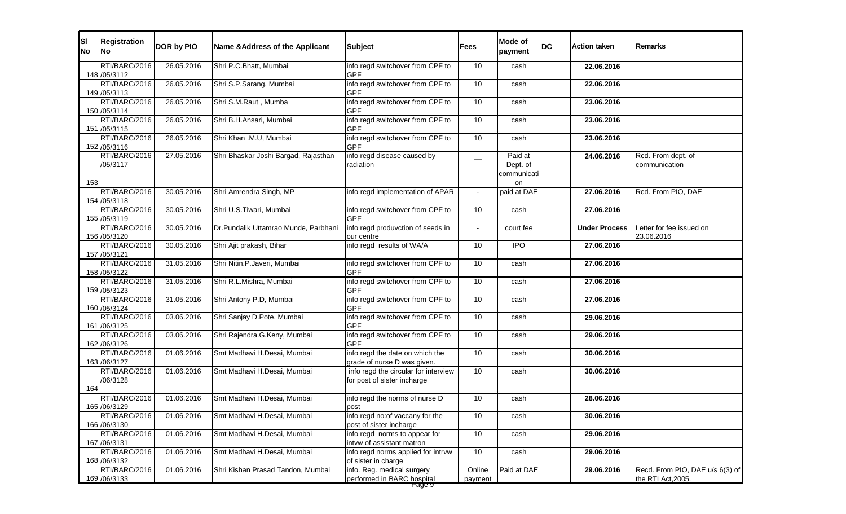| <b>SI</b><br><b>No</b> | Registration<br><b>No</b>      | DOR by PIO | Name & Address of the Applicant      | <b>Subject</b>                                                                | <b>Fees</b>       | <b>Mode of</b><br>payment                | <b>DC</b> | <b>Action taken</b>  | Remarks                                               |
|------------------------|--------------------------------|------------|--------------------------------------|-------------------------------------------------------------------------------|-------------------|------------------------------------------|-----------|----------------------|-------------------------------------------------------|
|                        | RTI/BARC/2016<br>148 / 05/3112 | 26.05.2016 | Shri P.C.Bhatt, Mumbai               | info regd switchover from CPF to<br><b>GPF</b>                                | 10                | cash                                     |           | 22.06.2016           |                                                       |
|                        | RTI/BARC/2016<br>149 / 05/3113 | 26.05.2016 | Shri S.P.Sarang, Mumbai              | info regd switchover from CPF to<br><b>GPF</b>                                | 10                | cash                                     |           | 22.06.2016           |                                                       |
|                        | RTI/BARC/2016<br>150 /05/3114  | 26.05.2016 | Shri S.M.Raut, Mumba                 | info regd switchover from CPF to<br><b>GPF</b>                                | 10                | cash                                     |           | 23.06.2016           |                                                       |
|                        | RTI/BARC/2016<br>151 /05/3115  | 26.05.2016 | Shri B.H.Ansari, Mumbai              | info regd switchover from CPF to<br><b>GPF</b>                                | 10                | cash                                     |           | 23.06.2016           |                                                       |
|                        | RTI/BARC/2016<br>152 /05/3116  | 26.05.2016 | Shri Khan .M.U, Mumbai               | info regd switchover from CPF to<br><b>GPF</b>                                | 10                | cash                                     |           | 23.06.2016           |                                                       |
| 153                    | RTI/BARC/2016<br>/05/3117      | 27.05.2016 | Shri Bhaskar Joshi Bargad, Rajasthan | info regd disease caused by<br>radiation                                      |                   | Paid at<br>Dept. of<br>communicati<br>on |           | 24.06.2016           | Rcd. From dept. of<br>communication                   |
|                        | RTI/BARC/2016<br>154 / 05/3118 | 30.05.2016 | Shri Amrendra Singh, MP              | info regd implementation of APAR                                              |                   | paid at DAE                              |           | 27.06.2016           | Rcd. From PIO, DAE                                    |
|                        | RTI/BARC/2016<br>155 /05/3119  | 30.05.2016 | Shri U.S.Tiwari, Mumbai              | info regd switchover from CPF to<br><b>GPF</b>                                | 10                | cash                                     |           | 27.06.2016           |                                                       |
|                        | RTI/BARC/2016<br>156 / 05/3120 | 30.05.2016 | Dr.Pundalik Uttamrao Munde, Parbhani | info regd produvction of seeds in<br>our centre                               |                   | court fee                                |           | <b>Under Process</b> | Letter for fee issued on<br>23.06.2016                |
|                        | RTI/BARC/2016<br>157 / 05/3121 | 30.05.2016 | Shri Ajit prakash, Bihar             | info regd results of WA/A                                                     | 10                | <b>IPO</b>                               |           | 27.06.2016           |                                                       |
|                        | RTI/BARC/2016<br>158 / 05/3122 | 31.05.2016 | Shri Nitin.P.Javeri, Mumbai          | info regd switchover from CPF to<br><b>GPF</b>                                | 10                | cash                                     |           | 27.06.2016           |                                                       |
|                        | RTI/BARC/2016<br>159 / 05/3123 | 31.05.2016 | Shri R.L.Mishra, Mumbai              | info regd switchover from CPF to<br><b>GPF</b>                                | 10                | cash                                     |           | 27.06.2016           |                                                       |
|                        | RTI/BARC/2016<br>160 / 05/3124 | 31.05.2016 | Shri Antony P.D, Mumbai              | info regd switchover from CPF to<br><b>GPF</b>                                | 10                | cash                                     |           | 27.06.2016           |                                                       |
|                        | RTI/BARC/2016<br>161 /06/3125  | 03.06.2016 | Shri Sanjay D.Pote, Mumbai           | info regd switchover from CPF to<br><b>GPF</b>                                | 10                | cash                                     |           | 29.06.2016           |                                                       |
|                        | RTI/BARC/2016<br>162 / 06/3126 | 03.06.2016 | Shri Rajendra.G.Keny, Mumbai         | info regd switchover from CPF to<br><b>GPF</b>                                | 10                | cash                                     |           | 29.06.2016           |                                                       |
|                        | RTI/BARC/2016<br>163 / 06/3127 | 01.06.2016 | Smt Madhavi H.Desai, Mumbai          | info regd the date on which the<br>grade of nurse D was given.                | 10                | cash                                     |           | 30.06.2016           |                                                       |
| 164                    | RTI/BARC/2016<br>/06/3128      | 01.06.2016 | Smt Madhavi H.Desai, Mumbai          | info regd the circular for interview<br>for post of sister incharge           | 10 <sup>°</sup>   | cash                                     |           | 30.06.2016           |                                                       |
|                        | RTI/BARC/2016<br>165 / 06/3129 | 01.06.2016 | Smt Madhavi H.Desai, Mumbai          | info regd the norms of nurse D<br>post                                        | 10                | cash                                     |           | 28.06.2016           |                                                       |
|                        | RTI/BARC/2016<br>166 / 06/3130 | 01.06.2016 | Smt Madhavi H.Desai, Mumbai          | info regd no: of vaccany for the<br>post of sister incharge                   | 10                | cash                                     |           | 30.06.2016           |                                                       |
|                        | RTI/BARC/2016<br>167 / 06/3131 | 01.06.2016 | Smt Madhavi H.Desai, Mumbai          | info regd norms to appear for<br>intvw of assistant matron                    | 10 <sup>°</sup>   | cash                                     |           | 29.06.2016           |                                                       |
|                        | RTI/BARC/2016<br>168 / 06/3132 | 01.06.2016 | Smt Madhavi H.Desai, Mumbai          | info regd norms applied for intrvw<br>of sister in charge                     | 10                | cash                                     |           | 29.06.2016           |                                                       |
|                        | RTI/BARC/2016<br>169 / 06/3133 | 01.06.2016 | Shri Kishan Prasad Tandon, Mumbai    | info. Reg. medical surgery<br>performed in BARC hospital<br><del>Page 9</del> | Online<br>payment | Paid at DAE                              |           | 29.06.2016           | Recd. From PIO, DAE u/s 6(3) of<br>the RTI Act, 2005. |

| Remarks                                              |
|------------------------------------------------------|
|                                                      |
|                                                      |
|                                                      |
|                                                      |
|                                                      |
| Rcd. From dept. of<br>communication                  |
| Rcd. From PIO, DAE                                   |
| Letter for fee issued on                             |
| <u>23.06.2016</u>                                    |
|                                                      |
|                                                      |
|                                                      |
|                                                      |
|                                                      |
|                                                      |
|                                                      |
|                                                      |
|                                                      |
|                                                      |
|                                                      |
|                                                      |
| Recd. From PIO, DAE u/s 6(3) of<br>the RTI Act,2005. |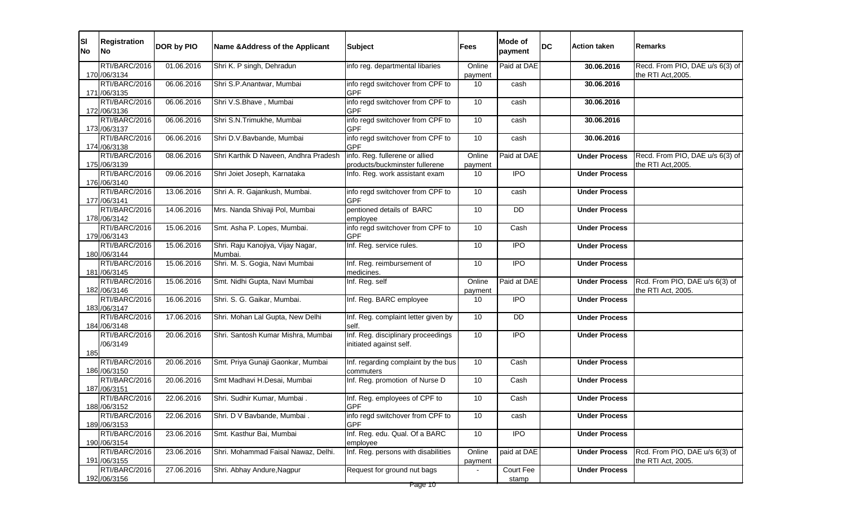| RTI/BARC/2016<br>Paid at DAE<br>01.06.2016<br>Shri K. P singh, Dehradun<br>info reg. departmental libaries<br>Online<br>30.06.2016<br>170 /06/3134<br>the RTI Act, 2005.<br>payment<br>RTI/BARC/2016<br>06.06.2016<br>info regd switchover from CPF to<br>Shri S.P.Anantwar, Mumbai<br>10<br>30.06.2016<br>cash<br><b>GPF</b><br>171 /06/3135<br>RTI/BARC/2016<br>06.06.2016<br>Shri V.S.Bhave, Mumbai<br>info regd switchover from CPF to<br>10<br>cash<br>30.06.2016<br><b>GPF</b><br>172 /06/3136<br>RTI/BARC/2016<br>06.06.2016<br>Shri S.N.Trimukhe, Mumbai<br>info regd switchover from CPF to<br>10<br>30.06.2016<br>cash<br>173 / 06/3137<br><b>GPF</b><br>RTI/BARC/2016<br>06.06.2016<br>Shri D.V.Bavbande, Mumbai<br>info regd switchover from CPF to<br>10<br>cash<br>30.06.2016<br>174 / 06/3138<br><b>GPF</b><br>RTI/BARC/2016<br>info. Reg. fullerene or allied<br>Paid at DAE<br>08.06.2016<br>Shri Karthik D Naveen, Andhra Pradesh<br>Online<br>Recd. From PIO, DAE u/s 6(3) of<br><b>Under Process</b><br>products/buckminster fullerene<br>the RTI Act, 2005.<br>175 / 06/3139<br>payment<br>RTI/BARC/2016<br>09.06.2016<br>Shri Joiet Joseph, Karnataka<br>$\overline{IPO}$<br>Info. Reg. work assistant exam<br>10<br><b>Under Process</b><br>176 / 06/3140<br>info regd switchover from CPF to<br>RTI/BARC/2016<br>13.06.2016<br>Shri A. R. Gajankush, Mumbai.<br>10<br><b>Under Process</b><br>cash<br><b>GPF</b><br>177 / 06/3141<br>RTI/BARC/2016<br>14.06.2016<br>Mrs. Nanda Shivaji Pol, Mumbai<br>pentioned details of BARC<br>10<br><b>DD</b><br><b>Under Process</b><br>178 / 06/3142<br>employee<br>RTI/BARC/2016<br>15.06.2016<br>Smt. Asha P. Lopes, Mumbai.<br>info regd switchover from CPF to<br>10<br>Cash<br><b>Under Process</b><br><b>GPF</b><br>179 / 06/3143<br>RTI/BARC/2016<br>15.06.2016<br>10<br><b>IPO</b><br>Shri. Raju Kanojiya, Vijay Nagar,<br>Inf. Reg. service rules.<br><b>Under Process</b><br>180 / 06/3144<br><b>Mumbai</b><br>15.06.2016<br>Shri. M. S. Gogia, Navi Mumbai<br>$\overline{IPO}$<br>RTI/BARC/2016<br>10<br>Inf. Reg. reimbursement of<br><b>Under Process</b><br>181 /06/3145<br>medicines.<br>Rcd. From PIO, DAE u/s 6(3) of<br>RTI/BARC/2016<br>Smt. Nidhi Gupta, Navi Mumbai<br>Paid at DAE<br>15.06.2016<br>Online<br>Inf. Reg. self<br><b>Under Process</b><br>182 /06/3146<br>the RTI Act, 2005.<br>payment<br>RTI/BARC/2016<br>16.06.2016<br>Shri. S. G. Gaikar, Mumbai.<br>Inf. Reg. BARC employee<br><b>IPO</b><br>10<br><b>Under Process</b><br>183 / 06/3147<br>RTI/BARC/2016<br>17.06.2016<br>10 <sup>°</sup><br><b>DD</b><br>Shri. Mohan Lal Gupta, New Delhi<br>Inf. Reg. complaint letter given by<br><b>Under Process</b><br>184 / 06/3148<br>self.<br>Inf. Reg. disciplinary proceedings<br>RTI/BARC/2016<br>20.06.2016<br>Shri. Santosh Kumar Mishra, Mumbai<br><b>IPO</b><br>10<br><b>Under Process</b><br>/06/3149<br>initiated against self.<br>185<br>RTI/BARC/2016<br>20.06.2016<br>Smt. Priya Gunaji Gaonkar, Mumbai<br>Inf. regarding complaint by the bus<br>10<br>Cash<br><b>Under Process</b><br>186 / 06/3150<br>commuters<br>RTI/BARC/2016<br>Smt Madhavi H.Desai, Mumbai<br>Inf. Reg. promotion of Nurse D<br>20.06.2016<br>10 <sup>°</sup><br>Cash<br><b>Under Process</b><br>187 / 06/3151<br>RTI/BARC/2016<br>22.06.2016<br>Shri. Sudhir Kumar, Mumbai.<br>10<br>Inf. Reg. employees of CPF to<br>Cash<br><b>Under Process</b><br><b>GPF</b><br>188 / 06/3152<br>RTI/BARC/2016<br>22.06.2016<br>Shri. D V Bavbande, Mumbai.<br>info regd switchover from CPF to<br>10 <sup>°</sup><br><b>Under Process</b><br>cash<br><b>GPF</b><br>189 / 06/3153<br>RTI/BARC/2016<br>Inf. Reg. edu. Qual. Of a BARC<br>23.06.2016<br>Smt. Kasthur Bai, Mumbai<br>10 <sup>°</sup><br><b>IPO</b><br><b>Under Process</b><br>190 / 06/3154<br>employee<br>RTI/BARC/2016<br>Rcd. From PIO, DAE u/s 6(3) of<br>23.06.2016<br>Shri. Mohammad Faisal Nawaz, Delhi.<br>Inf. Reg. persons with disabilities<br>Online<br>paid at DAE<br><b>Under Process</b><br>the RTI Act, 2005.<br>191 /06/3155<br>payment<br>RTI/BARC/2016<br>27.06.2016<br>Shri. Abhay Andure, Nagpur<br>Request for ground nut bags<br>Court Fee<br><b>Under Process</b> | <b>SI</b><br><b>No</b> | <b>Registration</b><br><b>No</b> | DOR by PIO | Name & Address of the Applicant | <b>Subject</b> | Fees | <b>Mode of</b><br>payment | <b>DC</b> | <b>Action taken</b> | <b>IRemarks</b>                 |
|----------------------------------------------------------------------------------------------------------------------------------------------------------------------------------------------------------------------------------------------------------------------------------------------------------------------------------------------------------------------------------------------------------------------------------------------------------------------------------------------------------------------------------------------------------------------------------------------------------------------------------------------------------------------------------------------------------------------------------------------------------------------------------------------------------------------------------------------------------------------------------------------------------------------------------------------------------------------------------------------------------------------------------------------------------------------------------------------------------------------------------------------------------------------------------------------------------------------------------------------------------------------------------------------------------------------------------------------------------------------------------------------------------------------------------------------------------------------------------------------------------------------------------------------------------------------------------------------------------------------------------------------------------------------------------------------------------------------------------------------------------------------------------------------------------------------------------------------------------------------------------------------------------------------------------------------------------------------------------------------------------------------------------------------------------------------------------------------------------------------------------------------------------------------------------------------------------------------------------------------------------------------------------------------------------------------------------------------------------------------------------------------------------------------------------------------------------------------------------------------------------------------------------------------------------------------------------------------------------------------------------------------------------------------------------------------------------------------------------------------------------------------------------------------------------------------------------------------------------------------------------------------------------------------------------------------------------------------------------------------------------------------------------------------------------------------------------------------------------------------------------------------------------------------------------------------------------------------------------------------------------------------------------------------------------------------------------------------------------------------------------------------------------------------------------------------------------------------------------------------------------------------------------------------------------------------------------------------------------------------------------------------------------------------------------------------------------------------------------------------------------------------------------------------------------------------------------------------------------------------------------------------------------------------------------------------------------------------------------------------------------------------------------------------------------------------------------------------------------------------------------------------------------------------------------------------------------------------------------|------------------------|----------------------------------|------------|---------------------------------|----------------|------|---------------------------|-----------|---------------------|---------------------------------|
|                                                                                                                                                                                                                                                                                                                                                                                                                                                                                                                                                                                                                                                                                                                                                                                                                                                                                                                                                                                                                                                                                                                                                                                                                                                                                                                                                                                                                                                                                                                                                                                                                                                                                                                                                                                                                                                                                                                                                                                                                                                                                                                                                                                                                                                                                                                                                                                                                                                                                                                                                                                                                                                                                                                                                                                                                                                                                                                                                                                                                                                                                                                                                                                                                                                                                                                                                                                                                                                                                                                                                                                                                                                                                                                                                                                                                                                                                                                                                                                                                                                                                                                                                                                                                                  |                        |                                  |            |                                 |                |      |                           |           |                     | Recd. From PIO, DAE u/s 6(3) of |
|                                                                                                                                                                                                                                                                                                                                                                                                                                                                                                                                                                                                                                                                                                                                                                                                                                                                                                                                                                                                                                                                                                                                                                                                                                                                                                                                                                                                                                                                                                                                                                                                                                                                                                                                                                                                                                                                                                                                                                                                                                                                                                                                                                                                                                                                                                                                                                                                                                                                                                                                                                                                                                                                                                                                                                                                                                                                                                                                                                                                                                                                                                                                                                                                                                                                                                                                                                                                                                                                                                                                                                                                                                                                                                                                                                                                                                                                                                                                                                                                                                                                                                                                                                                                                                  |                        |                                  |            |                                 |                |      |                           |           |                     |                                 |
|                                                                                                                                                                                                                                                                                                                                                                                                                                                                                                                                                                                                                                                                                                                                                                                                                                                                                                                                                                                                                                                                                                                                                                                                                                                                                                                                                                                                                                                                                                                                                                                                                                                                                                                                                                                                                                                                                                                                                                                                                                                                                                                                                                                                                                                                                                                                                                                                                                                                                                                                                                                                                                                                                                                                                                                                                                                                                                                                                                                                                                                                                                                                                                                                                                                                                                                                                                                                                                                                                                                                                                                                                                                                                                                                                                                                                                                                                                                                                                                                                                                                                                                                                                                                                                  |                        |                                  |            |                                 |                |      |                           |           |                     |                                 |
|                                                                                                                                                                                                                                                                                                                                                                                                                                                                                                                                                                                                                                                                                                                                                                                                                                                                                                                                                                                                                                                                                                                                                                                                                                                                                                                                                                                                                                                                                                                                                                                                                                                                                                                                                                                                                                                                                                                                                                                                                                                                                                                                                                                                                                                                                                                                                                                                                                                                                                                                                                                                                                                                                                                                                                                                                                                                                                                                                                                                                                                                                                                                                                                                                                                                                                                                                                                                                                                                                                                                                                                                                                                                                                                                                                                                                                                                                                                                                                                                                                                                                                                                                                                                                                  |                        |                                  |            |                                 |                |      |                           |           |                     |                                 |
|                                                                                                                                                                                                                                                                                                                                                                                                                                                                                                                                                                                                                                                                                                                                                                                                                                                                                                                                                                                                                                                                                                                                                                                                                                                                                                                                                                                                                                                                                                                                                                                                                                                                                                                                                                                                                                                                                                                                                                                                                                                                                                                                                                                                                                                                                                                                                                                                                                                                                                                                                                                                                                                                                                                                                                                                                                                                                                                                                                                                                                                                                                                                                                                                                                                                                                                                                                                                                                                                                                                                                                                                                                                                                                                                                                                                                                                                                                                                                                                                                                                                                                                                                                                                                                  |                        |                                  |            |                                 |                |      |                           |           |                     |                                 |
|                                                                                                                                                                                                                                                                                                                                                                                                                                                                                                                                                                                                                                                                                                                                                                                                                                                                                                                                                                                                                                                                                                                                                                                                                                                                                                                                                                                                                                                                                                                                                                                                                                                                                                                                                                                                                                                                                                                                                                                                                                                                                                                                                                                                                                                                                                                                                                                                                                                                                                                                                                                                                                                                                                                                                                                                                                                                                                                                                                                                                                                                                                                                                                                                                                                                                                                                                                                                                                                                                                                                                                                                                                                                                                                                                                                                                                                                                                                                                                                                                                                                                                                                                                                                                                  |                        |                                  |            |                                 |                |      |                           |           |                     |                                 |
|                                                                                                                                                                                                                                                                                                                                                                                                                                                                                                                                                                                                                                                                                                                                                                                                                                                                                                                                                                                                                                                                                                                                                                                                                                                                                                                                                                                                                                                                                                                                                                                                                                                                                                                                                                                                                                                                                                                                                                                                                                                                                                                                                                                                                                                                                                                                                                                                                                                                                                                                                                                                                                                                                                                                                                                                                                                                                                                                                                                                                                                                                                                                                                                                                                                                                                                                                                                                                                                                                                                                                                                                                                                                                                                                                                                                                                                                                                                                                                                                                                                                                                                                                                                                                                  |                        |                                  |            |                                 |                |      |                           |           |                     |                                 |
|                                                                                                                                                                                                                                                                                                                                                                                                                                                                                                                                                                                                                                                                                                                                                                                                                                                                                                                                                                                                                                                                                                                                                                                                                                                                                                                                                                                                                                                                                                                                                                                                                                                                                                                                                                                                                                                                                                                                                                                                                                                                                                                                                                                                                                                                                                                                                                                                                                                                                                                                                                                                                                                                                                                                                                                                                                                                                                                                                                                                                                                                                                                                                                                                                                                                                                                                                                                                                                                                                                                                                                                                                                                                                                                                                                                                                                                                                                                                                                                                                                                                                                                                                                                                                                  |                        |                                  |            |                                 |                |      |                           |           |                     |                                 |
|                                                                                                                                                                                                                                                                                                                                                                                                                                                                                                                                                                                                                                                                                                                                                                                                                                                                                                                                                                                                                                                                                                                                                                                                                                                                                                                                                                                                                                                                                                                                                                                                                                                                                                                                                                                                                                                                                                                                                                                                                                                                                                                                                                                                                                                                                                                                                                                                                                                                                                                                                                                                                                                                                                                                                                                                                                                                                                                                                                                                                                                                                                                                                                                                                                                                                                                                                                                                                                                                                                                                                                                                                                                                                                                                                                                                                                                                                                                                                                                                                                                                                                                                                                                                                                  |                        |                                  |            |                                 |                |      |                           |           |                     |                                 |
|                                                                                                                                                                                                                                                                                                                                                                                                                                                                                                                                                                                                                                                                                                                                                                                                                                                                                                                                                                                                                                                                                                                                                                                                                                                                                                                                                                                                                                                                                                                                                                                                                                                                                                                                                                                                                                                                                                                                                                                                                                                                                                                                                                                                                                                                                                                                                                                                                                                                                                                                                                                                                                                                                                                                                                                                                                                                                                                                                                                                                                                                                                                                                                                                                                                                                                                                                                                                                                                                                                                                                                                                                                                                                                                                                                                                                                                                                                                                                                                                                                                                                                                                                                                                                                  |                        |                                  |            |                                 |                |      |                           |           |                     |                                 |
|                                                                                                                                                                                                                                                                                                                                                                                                                                                                                                                                                                                                                                                                                                                                                                                                                                                                                                                                                                                                                                                                                                                                                                                                                                                                                                                                                                                                                                                                                                                                                                                                                                                                                                                                                                                                                                                                                                                                                                                                                                                                                                                                                                                                                                                                                                                                                                                                                                                                                                                                                                                                                                                                                                                                                                                                                                                                                                                                                                                                                                                                                                                                                                                                                                                                                                                                                                                                                                                                                                                                                                                                                                                                                                                                                                                                                                                                                                                                                                                                                                                                                                                                                                                                                                  |                        |                                  |            |                                 |                |      |                           |           |                     |                                 |
|                                                                                                                                                                                                                                                                                                                                                                                                                                                                                                                                                                                                                                                                                                                                                                                                                                                                                                                                                                                                                                                                                                                                                                                                                                                                                                                                                                                                                                                                                                                                                                                                                                                                                                                                                                                                                                                                                                                                                                                                                                                                                                                                                                                                                                                                                                                                                                                                                                                                                                                                                                                                                                                                                                                                                                                                                                                                                                                                                                                                                                                                                                                                                                                                                                                                                                                                                                                                                                                                                                                                                                                                                                                                                                                                                                                                                                                                                                                                                                                                                                                                                                                                                                                                                                  |                        |                                  |            |                                 |                |      |                           |           |                     |                                 |
|                                                                                                                                                                                                                                                                                                                                                                                                                                                                                                                                                                                                                                                                                                                                                                                                                                                                                                                                                                                                                                                                                                                                                                                                                                                                                                                                                                                                                                                                                                                                                                                                                                                                                                                                                                                                                                                                                                                                                                                                                                                                                                                                                                                                                                                                                                                                                                                                                                                                                                                                                                                                                                                                                                                                                                                                                                                                                                                                                                                                                                                                                                                                                                                                                                                                                                                                                                                                                                                                                                                                                                                                                                                                                                                                                                                                                                                                                                                                                                                                                                                                                                                                                                                                                                  |                        |                                  |            |                                 |                |      |                           |           |                     |                                 |
|                                                                                                                                                                                                                                                                                                                                                                                                                                                                                                                                                                                                                                                                                                                                                                                                                                                                                                                                                                                                                                                                                                                                                                                                                                                                                                                                                                                                                                                                                                                                                                                                                                                                                                                                                                                                                                                                                                                                                                                                                                                                                                                                                                                                                                                                                                                                                                                                                                                                                                                                                                                                                                                                                                                                                                                                                                                                                                                                                                                                                                                                                                                                                                                                                                                                                                                                                                                                                                                                                                                                                                                                                                                                                                                                                                                                                                                                                                                                                                                                                                                                                                                                                                                                                                  |                        |                                  |            |                                 |                |      |                           |           |                     |                                 |
|                                                                                                                                                                                                                                                                                                                                                                                                                                                                                                                                                                                                                                                                                                                                                                                                                                                                                                                                                                                                                                                                                                                                                                                                                                                                                                                                                                                                                                                                                                                                                                                                                                                                                                                                                                                                                                                                                                                                                                                                                                                                                                                                                                                                                                                                                                                                                                                                                                                                                                                                                                                                                                                                                                                                                                                                                                                                                                                                                                                                                                                                                                                                                                                                                                                                                                                                                                                                                                                                                                                                                                                                                                                                                                                                                                                                                                                                                                                                                                                                                                                                                                                                                                                                                                  |                        |                                  |            |                                 |                |      |                           |           |                     |                                 |
|                                                                                                                                                                                                                                                                                                                                                                                                                                                                                                                                                                                                                                                                                                                                                                                                                                                                                                                                                                                                                                                                                                                                                                                                                                                                                                                                                                                                                                                                                                                                                                                                                                                                                                                                                                                                                                                                                                                                                                                                                                                                                                                                                                                                                                                                                                                                                                                                                                                                                                                                                                                                                                                                                                                                                                                                                                                                                                                                                                                                                                                                                                                                                                                                                                                                                                                                                                                                                                                                                                                                                                                                                                                                                                                                                                                                                                                                                                                                                                                                                                                                                                                                                                                                                                  |                        |                                  |            |                                 |                |      |                           |           |                     |                                 |
|                                                                                                                                                                                                                                                                                                                                                                                                                                                                                                                                                                                                                                                                                                                                                                                                                                                                                                                                                                                                                                                                                                                                                                                                                                                                                                                                                                                                                                                                                                                                                                                                                                                                                                                                                                                                                                                                                                                                                                                                                                                                                                                                                                                                                                                                                                                                                                                                                                                                                                                                                                                                                                                                                                                                                                                                                                                                                                                                                                                                                                                                                                                                                                                                                                                                                                                                                                                                                                                                                                                                                                                                                                                                                                                                                                                                                                                                                                                                                                                                                                                                                                                                                                                                                                  |                        |                                  |            |                                 |                |      |                           |           |                     |                                 |
|                                                                                                                                                                                                                                                                                                                                                                                                                                                                                                                                                                                                                                                                                                                                                                                                                                                                                                                                                                                                                                                                                                                                                                                                                                                                                                                                                                                                                                                                                                                                                                                                                                                                                                                                                                                                                                                                                                                                                                                                                                                                                                                                                                                                                                                                                                                                                                                                                                                                                                                                                                                                                                                                                                                                                                                                                                                                                                                                                                                                                                                                                                                                                                                                                                                                                                                                                                                                                                                                                                                                                                                                                                                                                                                                                                                                                                                                                                                                                                                                                                                                                                                                                                                                                                  |                        |                                  |            |                                 |                |      |                           |           |                     |                                 |
|                                                                                                                                                                                                                                                                                                                                                                                                                                                                                                                                                                                                                                                                                                                                                                                                                                                                                                                                                                                                                                                                                                                                                                                                                                                                                                                                                                                                                                                                                                                                                                                                                                                                                                                                                                                                                                                                                                                                                                                                                                                                                                                                                                                                                                                                                                                                                                                                                                                                                                                                                                                                                                                                                                                                                                                                                                                                                                                                                                                                                                                                                                                                                                                                                                                                                                                                                                                                                                                                                                                                                                                                                                                                                                                                                                                                                                                                                                                                                                                                                                                                                                                                                                                                                                  |                        |                                  |            |                                 |                |      |                           |           |                     |                                 |
|                                                                                                                                                                                                                                                                                                                                                                                                                                                                                                                                                                                                                                                                                                                                                                                                                                                                                                                                                                                                                                                                                                                                                                                                                                                                                                                                                                                                                                                                                                                                                                                                                                                                                                                                                                                                                                                                                                                                                                                                                                                                                                                                                                                                                                                                                                                                                                                                                                                                                                                                                                                                                                                                                                                                                                                                                                                                                                                                                                                                                                                                                                                                                                                                                                                                                                                                                                                                                                                                                                                                                                                                                                                                                                                                                                                                                                                                                                                                                                                                                                                                                                                                                                                                                                  |                        |                                  |            |                                 |                |      |                           |           |                     |                                 |
|                                                                                                                                                                                                                                                                                                                                                                                                                                                                                                                                                                                                                                                                                                                                                                                                                                                                                                                                                                                                                                                                                                                                                                                                                                                                                                                                                                                                                                                                                                                                                                                                                                                                                                                                                                                                                                                                                                                                                                                                                                                                                                                                                                                                                                                                                                                                                                                                                                                                                                                                                                                                                                                                                                                                                                                                                                                                                                                                                                                                                                                                                                                                                                                                                                                                                                                                                                                                                                                                                                                                                                                                                                                                                                                                                                                                                                                                                                                                                                                                                                                                                                                                                                                                                                  |                        |                                  |            |                                 |                |      |                           |           |                     |                                 |
|                                                                                                                                                                                                                                                                                                                                                                                                                                                                                                                                                                                                                                                                                                                                                                                                                                                                                                                                                                                                                                                                                                                                                                                                                                                                                                                                                                                                                                                                                                                                                                                                                                                                                                                                                                                                                                                                                                                                                                                                                                                                                                                                                                                                                                                                                                                                                                                                                                                                                                                                                                                                                                                                                                                                                                                                                                                                                                                                                                                                                                                                                                                                                                                                                                                                                                                                                                                                                                                                                                                                                                                                                                                                                                                                                                                                                                                                                                                                                                                                                                                                                                                                                                                                                                  |                        |                                  |            |                                 |                |      |                           |           |                     |                                 |
|                                                                                                                                                                                                                                                                                                                                                                                                                                                                                                                                                                                                                                                                                                                                                                                                                                                                                                                                                                                                                                                                                                                                                                                                                                                                                                                                                                                                                                                                                                                                                                                                                                                                                                                                                                                                                                                                                                                                                                                                                                                                                                                                                                                                                                                                                                                                                                                                                                                                                                                                                                                                                                                                                                                                                                                                                                                                                                                                                                                                                                                                                                                                                                                                                                                                                                                                                                                                                                                                                                                                                                                                                                                                                                                                                                                                                                                                                                                                                                                                                                                                                                                                                                                                                                  |                        |                                  |            |                                 |                |      |                           |           |                     |                                 |
|                                                                                                                                                                                                                                                                                                                                                                                                                                                                                                                                                                                                                                                                                                                                                                                                                                                                                                                                                                                                                                                                                                                                                                                                                                                                                                                                                                                                                                                                                                                                                                                                                                                                                                                                                                                                                                                                                                                                                                                                                                                                                                                                                                                                                                                                                                                                                                                                                                                                                                                                                                                                                                                                                                                                                                                                                                                                                                                                                                                                                                                                                                                                                                                                                                                                                                                                                                                                                                                                                                                                                                                                                                                                                                                                                                                                                                                                                                                                                                                                                                                                                                                                                                                                                                  |                        |                                  |            |                                 |                |      |                           |           |                     |                                 |
|                                                                                                                                                                                                                                                                                                                                                                                                                                                                                                                                                                                                                                                                                                                                                                                                                                                                                                                                                                                                                                                                                                                                                                                                                                                                                                                                                                                                                                                                                                                                                                                                                                                                                                                                                                                                                                                                                                                                                                                                                                                                                                                                                                                                                                                                                                                                                                                                                                                                                                                                                                                                                                                                                                                                                                                                                                                                                                                                                                                                                                                                                                                                                                                                                                                                                                                                                                                                                                                                                                                                                                                                                                                                                                                                                                                                                                                                                                                                                                                                                                                                                                                                                                                                                                  |                        |                                  |            |                                 |                |      |                           |           |                     |                                 |
|                                                                                                                                                                                                                                                                                                                                                                                                                                                                                                                                                                                                                                                                                                                                                                                                                                                                                                                                                                                                                                                                                                                                                                                                                                                                                                                                                                                                                                                                                                                                                                                                                                                                                                                                                                                                                                                                                                                                                                                                                                                                                                                                                                                                                                                                                                                                                                                                                                                                                                                                                                                                                                                                                                                                                                                                                                                                                                                                                                                                                                                                                                                                                                                                                                                                                                                                                                                                                                                                                                                                                                                                                                                                                                                                                                                                                                                                                                                                                                                                                                                                                                                                                                                                                                  |                        |                                  |            |                                 |                |      |                           |           |                     |                                 |
|                                                                                                                                                                                                                                                                                                                                                                                                                                                                                                                                                                                                                                                                                                                                                                                                                                                                                                                                                                                                                                                                                                                                                                                                                                                                                                                                                                                                                                                                                                                                                                                                                                                                                                                                                                                                                                                                                                                                                                                                                                                                                                                                                                                                                                                                                                                                                                                                                                                                                                                                                                                                                                                                                                                                                                                                                                                                                                                                                                                                                                                                                                                                                                                                                                                                                                                                                                                                                                                                                                                                                                                                                                                                                                                                                                                                                                                                                                                                                                                                                                                                                                                                                                                                                                  |                        |                                  |            |                                 |                |      |                           |           |                     |                                 |
|                                                                                                                                                                                                                                                                                                                                                                                                                                                                                                                                                                                                                                                                                                                                                                                                                                                                                                                                                                                                                                                                                                                                                                                                                                                                                                                                                                                                                                                                                                                                                                                                                                                                                                                                                                                                                                                                                                                                                                                                                                                                                                                                                                                                                                                                                                                                                                                                                                                                                                                                                                                                                                                                                                                                                                                                                                                                                                                                                                                                                                                                                                                                                                                                                                                                                                                                                                                                                                                                                                                                                                                                                                                                                                                                                                                                                                                                                                                                                                                                                                                                                                                                                                                                                                  |                        |                                  |            |                                 |                |      |                           |           |                     |                                 |
|                                                                                                                                                                                                                                                                                                                                                                                                                                                                                                                                                                                                                                                                                                                                                                                                                                                                                                                                                                                                                                                                                                                                                                                                                                                                                                                                                                                                                                                                                                                                                                                                                                                                                                                                                                                                                                                                                                                                                                                                                                                                                                                                                                                                                                                                                                                                                                                                                                                                                                                                                                                                                                                                                                                                                                                                                                                                                                                                                                                                                                                                                                                                                                                                                                                                                                                                                                                                                                                                                                                                                                                                                                                                                                                                                                                                                                                                                                                                                                                                                                                                                                                                                                                                                                  |                        |                                  |            |                                 |                |      |                           |           |                     |                                 |
|                                                                                                                                                                                                                                                                                                                                                                                                                                                                                                                                                                                                                                                                                                                                                                                                                                                                                                                                                                                                                                                                                                                                                                                                                                                                                                                                                                                                                                                                                                                                                                                                                                                                                                                                                                                                                                                                                                                                                                                                                                                                                                                                                                                                                                                                                                                                                                                                                                                                                                                                                                                                                                                                                                                                                                                                                                                                                                                                                                                                                                                                                                                                                                                                                                                                                                                                                                                                                                                                                                                                                                                                                                                                                                                                                                                                                                                                                                                                                                                                                                                                                                                                                                                                                                  |                        |                                  |            |                                 |                |      |                           |           |                     |                                 |
|                                                                                                                                                                                                                                                                                                                                                                                                                                                                                                                                                                                                                                                                                                                                                                                                                                                                                                                                                                                                                                                                                                                                                                                                                                                                                                                                                                                                                                                                                                                                                                                                                                                                                                                                                                                                                                                                                                                                                                                                                                                                                                                                                                                                                                                                                                                                                                                                                                                                                                                                                                                                                                                                                                                                                                                                                                                                                                                                                                                                                                                                                                                                                                                                                                                                                                                                                                                                                                                                                                                                                                                                                                                                                                                                                                                                                                                                                                                                                                                                                                                                                                                                                                                                                                  |                        |                                  |            |                                 |                |      |                           |           |                     |                                 |
|                                                                                                                                                                                                                                                                                                                                                                                                                                                                                                                                                                                                                                                                                                                                                                                                                                                                                                                                                                                                                                                                                                                                                                                                                                                                                                                                                                                                                                                                                                                                                                                                                                                                                                                                                                                                                                                                                                                                                                                                                                                                                                                                                                                                                                                                                                                                                                                                                                                                                                                                                                                                                                                                                                                                                                                                                                                                                                                                                                                                                                                                                                                                                                                                                                                                                                                                                                                                                                                                                                                                                                                                                                                                                                                                                                                                                                                                                                                                                                                                                                                                                                                                                                                                                                  |                        |                                  |            |                                 |                |      |                           |           |                     |                                 |
|                                                                                                                                                                                                                                                                                                                                                                                                                                                                                                                                                                                                                                                                                                                                                                                                                                                                                                                                                                                                                                                                                                                                                                                                                                                                                                                                                                                                                                                                                                                                                                                                                                                                                                                                                                                                                                                                                                                                                                                                                                                                                                                                                                                                                                                                                                                                                                                                                                                                                                                                                                                                                                                                                                                                                                                                                                                                                                                                                                                                                                                                                                                                                                                                                                                                                                                                                                                                                                                                                                                                                                                                                                                                                                                                                                                                                                                                                                                                                                                                                                                                                                                                                                                                                                  |                        |                                  |            |                                 |                |      |                           |           |                     |                                 |
|                                                                                                                                                                                                                                                                                                                                                                                                                                                                                                                                                                                                                                                                                                                                                                                                                                                                                                                                                                                                                                                                                                                                                                                                                                                                                                                                                                                                                                                                                                                                                                                                                                                                                                                                                                                                                                                                                                                                                                                                                                                                                                                                                                                                                                                                                                                                                                                                                                                                                                                                                                                                                                                                                                                                                                                                                                                                                                                                                                                                                                                                                                                                                                                                                                                                                                                                                                                                                                                                                                                                                                                                                                                                                                                                                                                                                                                                                                                                                                                                                                                                                                                                                                                                                                  |                        |                                  |            |                                 |                |      |                           |           |                     |                                 |
|                                                                                                                                                                                                                                                                                                                                                                                                                                                                                                                                                                                                                                                                                                                                                                                                                                                                                                                                                                                                                                                                                                                                                                                                                                                                                                                                                                                                                                                                                                                                                                                                                                                                                                                                                                                                                                                                                                                                                                                                                                                                                                                                                                                                                                                                                                                                                                                                                                                                                                                                                                                                                                                                                                                                                                                                                                                                                                                                                                                                                                                                                                                                                                                                                                                                                                                                                                                                                                                                                                                                                                                                                                                                                                                                                                                                                                                                                                                                                                                                                                                                                                                                                                                                                                  |                        |                                  |            |                                 |                |      |                           |           |                     |                                 |
|                                                                                                                                                                                                                                                                                                                                                                                                                                                                                                                                                                                                                                                                                                                                                                                                                                                                                                                                                                                                                                                                                                                                                                                                                                                                                                                                                                                                                                                                                                                                                                                                                                                                                                                                                                                                                                                                                                                                                                                                                                                                                                                                                                                                                                                                                                                                                                                                                                                                                                                                                                                                                                                                                                                                                                                                                                                                                                                                                                                                                                                                                                                                                                                                                                                                                                                                                                                                                                                                                                                                                                                                                                                                                                                                                                                                                                                                                                                                                                                                                                                                                                                                                                                                                                  |                        |                                  |            |                                 |                |      |                           |           |                     |                                 |
|                                                                                                                                                                                                                                                                                                                                                                                                                                                                                                                                                                                                                                                                                                                                                                                                                                                                                                                                                                                                                                                                                                                                                                                                                                                                                                                                                                                                                                                                                                                                                                                                                                                                                                                                                                                                                                                                                                                                                                                                                                                                                                                                                                                                                                                                                                                                                                                                                                                                                                                                                                                                                                                                                                                                                                                                                                                                                                                                                                                                                                                                                                                                                                                                                                                                                                                                                                                                                                                                                                                                                                                                                                                                                                                                                                                                                                                                                                                                                                                                                                                                                                                                                                                                                                  |                        |                                  |            |                                 |                |      |                           |           |                     |                                 |
|                                                                                                                                                                                                                                                                                                                                                                                                                                                                                                                                                                                                                                                                                                                                                                                                                                                                                                                                                                                                                                                                                                                                                                                                                                                                                                                                                                                                                                                                                                                                                                                                                                                                                                                                                                                                                                                                                                                                                                                                                                                                                                                                                                                                                                                                                                                                                                                                                                                                                                                                                                                                                                                                                                                                                                                                                                                                                                                                                                                                                                                                                                                                                                                                                                                                                                                                                                                                                                                                                                                                                                                                                                                                                                                                                                                                                                                                                                                                                                                                                                                                                                                                                                                                                                  |                        |                                  |            |                                 |                |      |                           |           |                     |                                 |
|                                                                                                                                                                                                                                                                                                                                                                                                                                                                                                                                                                                                                                                                                                                                                                                                                                                                                                                                                                                                                                                                                                                                                                                                                                                                                                                                                                                                                                                                                                                                                                                                                                                                                                                                                                                                                                                                                                                                                                                                                                                                                                                                                                                                                                                                                                                                                                                                                                                                                                                                                                                                                                                                                                                                                                                                                                                                                                                                                                                                                                                                                                                                                                                                                                                                                                                                                                                                                                                                                                                                                                                                                                                                                                                                                                                                                                                                                                                                                                                                                                                                                                                                                                                                                                  |                        |                                  |            |                                 |                |      |                           |           |                     |                                 |
|                                                                                                                                                                                                                                                                                                                                                                                                                                                                                                                                                                                                                                                                                                                                                                                                                                                                                                                                                                                                                                                                                                                                                                                                                                                                                                                                                                                                                                                                                                                                                                                                                                                                                                                                                                                                                                                                                                                                                                                                                                                                                                                                                                                                                                                                                                                                                                                                                                                                                                                                                                                                                                                                                                                                                                                                                                                                                                                                                                                                                                                                                                                                                                                                                                                                                                                                                                                                                                                                                                                                                                                                                                                                                                                                                                                                                                                                                                                                                                                                                                                                                                                                                                                                                                  |                        |                                  |            |                                 |                |      |                           |           |                     |                                 |
|                                                                                                                                                                                                                                                                                                                                                                                                                                                                                                                                                                                                                                                                                                                                                                                                                                                                                                                                                                                                                                                                                                                                                                                                                                                                                                                                                                                                                                                                                                                                                                                                                                                                                                                                                                                                                                                                                                                                                                                                                                                                                                                                                                                                                                                                                                                                                                                                                                                                                                                                                                                                                                                                                                                                                                                                                                                                                                                                                                                                                                                                                                                                                                                                                                                                                                                                                                                                                                                                                                                                                                                                                                                                                                                                                                                                                                                                                                                                                                                                                                                                                                                                                                                                                                  |                        |                                  |            |                                 |                |      |                           |           |                     |                                 |
|                                                                                                                                                                                                                                                                                                                                                                                                                                                                                                                                                                                                                                                                                                                                                                                                                                                                                                                                                                                                                                                                                                                                                                                                                                                                                                                                                                                                                                                                                                                                                                                                                                                                                                                                                                                                                                                                                                                                                                                                                                                                                                                                                                                                                                                                                                                                                                                                                                                                                                                                                                                                                                                                                                                                                                                                                                                                                                                                                                                                                                                                                                                                                                                                                                                                                                                                                                                                                                                                                                                                                                                                                                                                                                                                                                                                                                                                                                                                                                                                                                                                                                                                                                                                                                  |                        |                                  |            |                                 |                |      |                           |           |                     |                                 |
|                                                                                                                                                                                                                                                                                                                                                                                                                                                                                                                                                                                                                                                                                                                                                                                                                                                                                                                                                                                                                                                                                                                                                                                                                                                                                                                                                                                                                                                                                                                                                                                                                                                                                                                                                                                                                                                                                                                                                                                                                                                                                                                                                                                                                                                                                                                                                                                                                                                                                                                                                                                                                                                                                                                                                                                                                                                                                                                                                                                                                                                                                                                                                                                                                                                                                                                                                                                                                                                                                                                                                                                                                                                                                                                                                                                                                                                                                                                                                                                                                                                                                                                                                                                                                                  |                        |                                  |            |                                 |                |      |                           |           |                     |                                 |
|                                                                                                                                                                                                                                                                                                                                                                                                                                                                                                                                                                                                                                                                                                                                                                                                                                                                                                                                                                                                                                                                                                                                                                                                                                                                                                                                                                                                                                                                                                                                                                                                                                                                                                                                                                                                                                                                                                                                                                                                                                                                                                                                                                                                                                                                                                                                                                                                                                                                                                                                                                                                                                                                                                                                                                                                                                                                                                                                                                                                                                                                                                                                                                                                                                                                                                                                                                                                                                                                                                                                                                                                                                                                                                                                                                                                                                                                                                                                                                                                                                                                                                                                                                                                                                  |                        |                                  |            |                                 |                |      |                           |           |                     |                                 |
| Page 10                                                                                                                                                                                                                                                                                                                                                                                                                                                                                                                                                                                                                                                                                                                                                                                                                                                                                                                                                                                                                                                                                                                                                                                                                                                                                                                                                                                                                                                                                                                                                                                                                                                                                                                                                                                                                                                                                                                                                                                                                                                                                                                                                                                                                                                                                                                                                                                                                                                                                                                                                                                                                                                                                                                                                                                                                                                                                                                                                                                                                                                                                                                                                                                                                                                                                                                                                                                                                                                                                                                                                                                                                                                                                                                                                                                                                                                                                                                                                                                                                                                                                                                                                                                                                          |                        | 192 /06/3156                     |            |                                 |                |      | stamp                     |           |                     |                                 |

| <b>Remarks</b>                                        |
|-------------------------------------------------------|
| Recd. From PIO, DAE u/s 6(3) of<br>the RTI Act, 2005. |
|                                                       |
|                                                       |
|                                                       |
| Recd. From PIO, DAE u/s 6(3) of<br>the RTI Act, 2005. |
|                                                       |
|                                                       |
|                                                       |
|                                                       |
| Rcd. From PIO, DAE u/s 6(3) of<br>the RTI Act, 2005.  |
|                                                       |
|                                                       |
|                                                       |
|                                                       |
|                                                       |
|                                                       |
| Rcd. From PIO, DAE u/s 6(3) of<br>the RTI Act, 2005.  |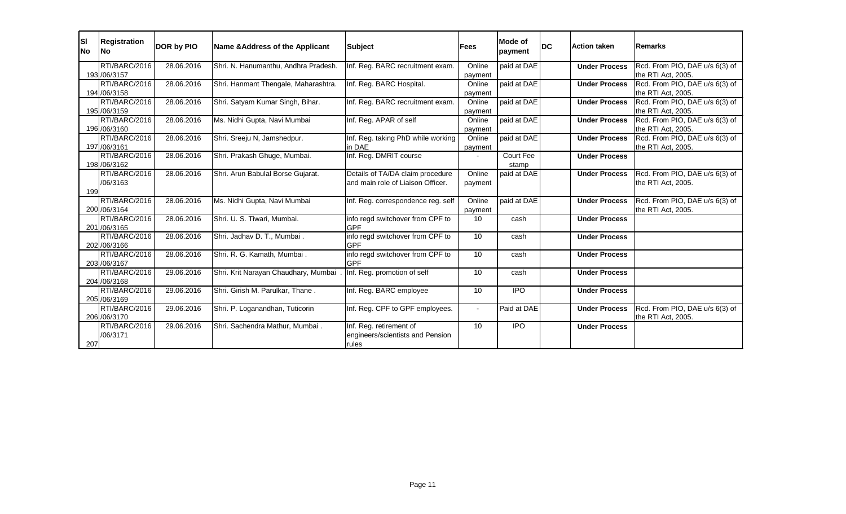| <b>SI</b><br><b>No</b> | <b>Registration</b><br><b>No</b> | <b>DOR by PIO</b> | Name & Address of the Applicant      | <b>Subject</b>                     | <b>Fees</b>     | <b>Mode of</b><br>payment | <b>DC</b> | <b>Action taken</b>  | <b>Remarks</b>                 |
|------------------------|----------------------------------|-------------------|--------------------------------------|------------------------------------|-----------------|---------------------------|-----------|----------------------|--------------------------------|
|                        | RTI/BARC/2016                    | 28.06.2016        | Shri. N. Hanumanthu, Andhra Pradesh. | Inf. Reg. BARC recruitment exam.   | Online          | paid at DAE               |           | <b>Under Process</b> | Rcd. From PIO, DAE u/s 6(3) of |
|                        | 193 / 06/3157                    |                   |                                      |                                    | payment         |                           |           |                      | the RTI Act, 2005.             |
|                        | RTI/BARC/2016                    | 28.06.2016        | Shri. Hanmant Thengale, Maharashtra. | Inf. Reg. BARC Hospital.           | Online          | paid at DAE               |           | <b>Under Process</b> | Rcd. From PIO, DAE u/s 6(3) of |
|                        | 194 / 06/3158                    |                   |                                      |                                    | payment         |                           |           |                      | the RTI Act, 2005.             |
|                        | RTI/BARC/2016                    | 28.06.2016        | Shri. Satyam Kumar Singh, Bihar.     | Inf. Reg. BARC recruitment exam.   | Online          | paid at DAE               |           | <b>Under Process</b> | Rcd. From PIO, DAE u/s 6(3) of |
|                        | 195 /06/3159                     |                   |                                      |                                    | payment         |                           |           |                      | the RTI Act, 2005.             |
|                        | RTI/BARC/2016                    | 28.06.2016        | Ms. Nidhi Gupta, Navi Mumbai         | Inf. Reg. APAR of self             | Online          | paid at DAE               |           | <b>Under Process</b> | Rcd. From PIO, DAE u/s 6(3) of |
|                        | 196 /06/3160                     |                   |                                      |                                    | payment         |                           |           |                      | the RTI Act, 2005.             |
|                        | RTI/BARC/2016                    | 28.06.2016        | Shri. Sreeju N, Jamshedpur.          | Inf. Reg. taking PhD while working | Online          | paid at DAE               |           | <b>Under Process</b> | Rcd. From PIO, DAE u/s 6(3) of |
|                        | 197 / 06/3161                    |                   |                                      | in DAE                             | payment         |                           |           |                      | the RTI Act, 2005.             |
|                        | RTI/BARC/2016                    | 28.06.2016        | Shri. Prakash Ghuge, Mumbai.         | Inf. Reg. DMRIT course             |                 | <b>Court Fee</b>          |           | <b>Under Process</b> |                                |
|                        | 198 / 06/3162                    |                   |                                      |                                    |                 | stamp                     |           |                      |                                |
|                        | RTI/BARC/2016                    | 28.06.2016        | Shri. Arun Babulal Borse Gujarat.    | Details of TA/DA claim procedure   | Online          | paid at DAE               |           | <b>Under Process</b> | Rcd. From PIO, DAE u/s 6(3) of |
|                        | /06/3163                         |                   |                                      | and main role of Liaison Officer.  | payment         |                           |           |                      | the RTI Act, 2005.             |
| 199                    |                                  |                   |                                      |                                    |                 |                           |           |                      |                                |
|                        | RTI/BARC/2016                    | 28.06.2016        | Ms. Nidhi Gupta, Navi Mumbai         | Inf. Reg. correspondence reg. self | Online          | paid at DAE               |           | <b>Under Process</b> | Rcd. From PIO, DAE u/s 6(3) of |
|                        | 200 /06/3164                     |                   |                                      |                                    | payment         |                           |           |                      | the RTI Act, 2005.             |
|                        | RTI/BARC/2016                    | 28.06.2016        | Shri. U. S. Tiwari, Mumbai.          | info regd switchover from CPF to   | 10              | cash                      |           | <b>Under Process</b> |                                |
|                        | 201 /06/3165                     |                   |                                      | <b>GPF</b>                         |                 |                           |           |                      |                                |
|                        | RTI/BARC/2016                    | 28.06.2016        | Shri. Jadhav D. T., Mumbai.          | info regd switchover from CPF to   | 10              | cash                      |           | <b>Under Process</b> |                                |
|                        | 202 /06/3166                     |                   |                                      | <b>GPF</b>                         |                 |                           |           |                      |                                |
|                        | RTI/BARC/2016                    | 28.06.2016        | Shri. R. G. Kamath, Mumbai.          | info regd switchover from CPF to   | 10 <sup>°</sup> | cash                      |           | <b>Under Process</b> |                                |
|                        | 203 / 06/3167                    |                   |                                      | <b>GPF</b>                         |                 |                           |           |                      |                                |
|                        | RTI/BARC/2016                    | 29.06.2016        | Shri. Krit Narayan Chaudhary, Mumbai | Inf. Reg. promotion of self        | 10              | cash                      |           | <b>Under Process</b> |                                |
|                        | 204 /06/3168                     |                   |                                      |                                    |                 |                           |           |                      |                                |
|                        | RTI/BARC/2016                    | 29.06.2016        | Shri. Girish M. Parulkar, Thane.     | Inf. Reg. BARC employee            | 10 <sup>°</sup> | <b>IPO</b>                |           | <b>Under Process</b> |                                |
|                        | 205 /06/3169                     |                   |                                      |                                    |                 |                           |           |                      |                                |
|                        | RTI/BARC/2016                    | 29.06.2016        | Shri. P. Loganandhan, Tuticorin      | Inf. Reg. CPF to GPF employees.    | $\blacksquare$  | Paid at DAE               |           | <b>Under Process</b> | Rcd. From PIO, DAE u/s 6(3) of |
|                        | 206 / 06/3170                    |                   |                                      |                                    |                 |                           |           |                      | the RTI Act, 2005.             |
|                        | RTI/BARC/2016                    | 29.06.2016        | Shri. Sachendra Mathur, Mumbai.      | Inf. Reg. retirement of            | 10 <sup>°</sup> | <b>IPO</b>                |           | <b>Under Process</b> |                                |
|                        | /06/3171                         |                   |                                      | engineers/scientists and Pension   |                 |                           |           |                      |                                |
| 207                    |                                  |                   |                                      | rules                              |                 |                           |           |                      |                                |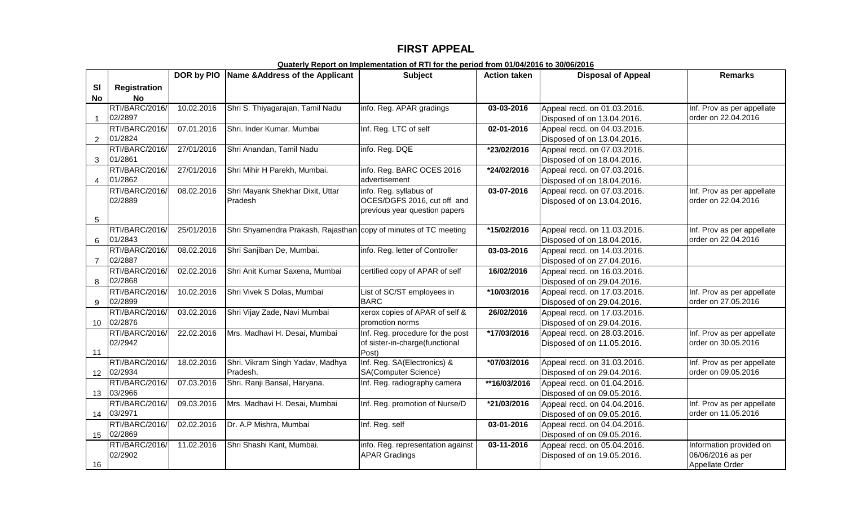## **FIRST APPEAL**

|                 |                           | DOR by PIO | Name & Address of the Applicant                                  | <b>Subject</b>                    | <b>Action taken</b> | <b>Disposal of Appeal</b>   | <b>Remarks</b>                       |
|-----------------|---------------------------|------------|------------------------------------------------------------------|-----------------------------------|---------------------|-----------------------------|--------------------------------------|
| <b>SI</b>       | <b>Registration</b>       |            |                                                                  |                                   |                     |                             |                                      |
| <b>No</b>       | <b>No</b>                 |            |                                                                  |                                   |                     |                             |                                      |
|                 | RTI/BARC/2016/            | 10.02.2016 | Shri S. Thiyagarajan, Tamil Nadu                                 | info. Reg. APAR gradings          | $03 - 03 - 2016$    | Appeal recd. on 01.03.2016. | Inf. Prov as per appellate           |
| $\overline{1}$  | 02/2897                   |            |                                                                  |                                   |                     | Disposed of on 13.04.2016.  | order on 22.04.2016                  |
|                 | RTI/BARC/2016/            | 07.01.2016 | Shri. Inder Kumar, Mumbai                                        | Inf. Reg. LTC of self             | 02-01-2016          | Appeal recd. on 04.03.2016. |                                      |
| 2               | 01/2824                   |            |                                                                  |                                   |                     | Disposed of on 13.04.2016.  |                                      |
|                 | RTI/BARC/2016/            | 27/01/2016 | Shri Anandan, Tamil Nadu                                         | info. Reg. DQE                    | *23/02/2016         | Appeal recd. on 07.03.2016. |                                      |
| 3               | 01/2861                   |            |                                                                  |                                   |                     | Disposed of on 18.04.2016.  |                                      |
|                 | RTI/BARC/2016/            | 27/01/2016 | Shri Mihir H Parekh, Mumbai.                                     | info. Reg. BARC OCES 2016         | *24/02/2016         | Appeal recd. on 07.03.2016. |                                      |
| 4               | 01/2862                   |            |                                                                  | advertisement                     |                     | Disposed of on 18.04.2016.  |                                      |
|                 | RTI/BARC/2016/            | 08.02.2016 | Shri Mayank Shekhar Dixit, Uttar                                 | info. Reg. syllabus of            | 03-07-2016          | Appeal recd. on 07.03.2016. | Inf. Prov as per appellate           |
|                 | 02/2889                   |            | Pradesh                                                          | OCES/DGFS 2016, cut off and       |                     | Disposed of on 13.04.2016.  | order on 22.04.2016                  |
|                 |                           |            |                                                                  | previous year question papers     |                     |                             |                                      |
| 5               | RTI/BARC/2016/            | 25/01/2016 | Shri Shyamendra Prakash, Rajasthan copy of minutes of TC meeting |                                   | *15/02/2016         | Appeal recd. on 11.03.2016. | Inf. Prov as per appellate           |
| 6               | 01/2843                   |            |                                                                  |                                   |                     | Disposed of on 18.04.2016.  | order on 22.04.2016                  |
|                 | RTI/BARC/2016/            | 08.02.2016 | Shri Sanjiban De, Mumbai.                                        | info. Reg. letter of Controller   | 03-03-2016          | Appeal recd. on 14.03.2016. |                                      |
| $\overline{7}$  | 02/2887                   |            |                                                                  |                                   |                     | Disposed of on 27.04.2016.  |                                      |
|                 | RTI/BARC/2016/            | 02.02.2016 | Shri Anit Kumar Saxena, Mumbai                                   | certified copy of APAR of self    | 16/02/2016          | Appeal recd. on 16.03.2016. |                                      |
| 8               | 02/2868                   |            |                                                                  |                                   |                     | Disposed of on 29.04.2016.  |                                      |
|                 | RTI/BARC/2016/            | 10.02.2016 | Shri Vivek S Dolas, Mumbai                                       | List of SC/ST employees in        | *10/03/2016         | Appeal recd. on 17.03.2016. | Inf. Prov as per appellate           |
| 9               | 02/2899                   |            |                                                                  | <b>BARC</b>                       |                     | Disposed of on 29.04.2016.  | order on 27.05.2016                  |
|                 | RTI/BARC/2016/            | 03.02.2016 | Shri Vijay Zade, Navi Mumbai                                     | xerox copies of APAR of self &    | 26/02/2016          | Appeal recd. on 17.03.2016. |                                      |
| 10              | 02/2876                   |            |                                                                  | promotion norms                   |                     | Disposed of on 29.04.2016.  |                                      |
|                 | RTI/BARC/2016/            | 22.02.2016 | Mrs. Madhavi H. Desai, Mumbai                                    | Inf. Reg. procedure for the post  | *17/03/2016         | Appeal recd. on 28.03.2016. | Inf. Prov as per appellate           |
|                 | 02/2942                   |            |                                                                  | of sister-in-charge(functional    |                     | Disposed of on 11.05.2016.  | order on 30.05.2016                  |
| 11              |                           |            |                                                                  | Post)                             |                     |                             |                                      |
|                 | RTI/BARC/2016/            | 18.02.2016 | Shri. Vikram Singh Yadav, Madhya                                 | Inf. Reg. SA(Electronics) &       | *07/03/2016         | Appeal recd. on 31.03.2016. | Inf. Prov as per appellate           |
| 12              | 02/2934                   |            | Pradesh.                                                         | <b>SA(Computer Science)</b>       |                     | Disposed of on 29.04.2016.  | order on 09.05.2016                  |
|                 | RTI/BARC/2016/            | 07.03.2016 | Shri. Ranji Bansal, Haryana.                                     | Inf. Reg. radiography camera      | **16/03/2016        | Appeal recd. on 01.04.2016. |                                      |
| 13 <sup>°</sup> | 03/2966                   |            |                                                                  |                                   |                     | Disposed of on 09.05.2016.  |                                      |
|                 | RTI/BARC/2016/            | 09.03.2016 | Mrs. Madhavi H. Desai, Mumbai                                    | Inf. Reg. promotion of Nurse/D    | *21/03/2016         | Appeal recd. on 04.04.2016. | Inf. Prov as per appellate           |
| 14              | 03/2971                   |            |                                                                  |                                   |                     | Disposed of on 09.05.2016.  | order on 11.05.2016                  |
|                 | RTI/BARC/2016/            | 02.02.2016 | Dr. A.P Mishra, Mumbai                                           | Inf. Reg. self                    | 03-01-2016          | Appeal recd. on 04.04.2016. |                                      |
| 15              | 02/2869                   |            |                                                                  |                                   |                     | Disposed of on 09.05.2016.  |                                      |
|                 | RTI/BARC/2016/<br>02/2902 | 11.02.2016 | Shri Shashi Kant, Mumbai.                                        | info. Reg. representation against | 03-11-2016          | Appeal recd. on 05.04.2016. | Information provided on              |
| 16              |                           |            |                                                                  | <b>APAR Gradings</b>              |                     | Disposed of on 19.05.2016.  | 06/06/2016 as per<br>Appellate Order |
|                 |                           |            |                                                                  |                                   |                     |                             |                                      |

**Quaterly Report on Implementation of RTI for the period from 01/04/2016 to 30/06/2016**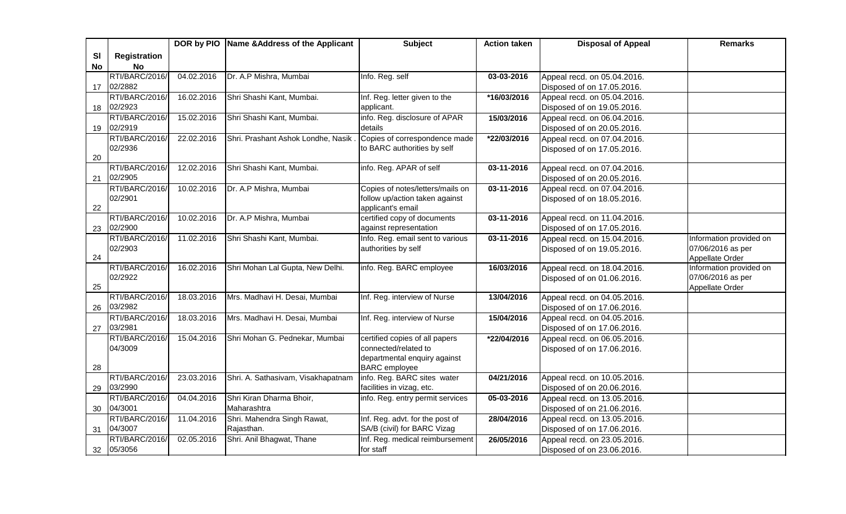|           |                     |            | DOR by PIO Name & Address of the Applicant | <b>Subject</b>                   | <b>Action taken</b> | <b>Disposal of Appeal</b>   | <b>Remarks</b>                       |
|-----------|---------------------|------------|--------------------------------------------|----------------------------------|---------------------|-----------------------------|--------------------------------------|
| <b>SI</b> | <b>Registration</b> |            |                                            |                                  |                     |                             |                                      |
| No        | <b>No</b>           |            |                                            |                                  |                     |                             |                                      |
|           | RTI/BARC/2016/      | 04.02.2016 | Dr. A.P Mishra, Mumbai                     | Info. Reg. self                  | 03-03-2016          | Appeal recd. on 05.04.2016. |                                      |
| 17        | 02/2882             |            |                                            |                                  |                     | Disposed of on 17.05.2016.  |                                      |
|           | RTI/BARC/2016/      | 16.02.2016 | Shri Shashi Kant, Mumbai.                  | Inf. Reg. letter given to the    | *16/03/2016         | Appeal recd. on 05.04.2016. |                                      |
| 18        | 02/2923             |            |                                            | applicant.                       |                     | Disposed of on 19.05.2016.  |                                      |
|           | RTI/BARC/2016/      | 15.02.2016 | Shri Shashi Kant, Mumbai.                  | info. Reg. disclosure of APAR    | 15/03/2016          | Appeal recd. on 06.04.2016. |                                      |
| 19        | 02/2919             |            |                                            | details                          |                     | Disposed of on 20.05.2016.  |                                      |
|           | RTI/BARC/2016/      | 22.02.2016 | Shri. Prashant Ashok Londhe, Nasik.        | Copies of correspondence made    | *22/03/2016         | Appeal recd. on 07.04.2016. |                                      |
|           | 02/2936             |            |                                            | to BARC authorities by self      |                     | Disposed of on 17.05.2016.  |                                      |
| 20        |                     |            |                                            |                                  |                     |                             |                                      |
|           | RTI/BARC/2016/      | 12.02.2016 | Shri Shashi Kant, Mumbai.                  | info. Reg. APAR of self          | 03-11-2016          | Appeal recd. on 07.04.2016. |                                      |
| 21        | 02/2905             |            |                                            |                                  |                     | Disposed of on 20.05.2016.  |                                      |
|           | RTI/BARC/2016/      | 10.02.2016 | Dr. A.P Mishra, Mumbai                     | Copies of notes/letters/mails on | 03-11-2016          | Appeal recd. on 07.04.2016. |                                      |
|           | 02/2901             |            |                                            | follow up/action taken against   |                     | Disposed of on 18.05.2016.  |                                      |
| 22        |                     |            |                                            | applicant's email                |                     |                             |                                      |
|           | RTI/BARC/2016/      | 10.02.2016 | Dr. A.P Mishra, Mumbai                     | certified copy of documents      | 03-11-2016          | Appeal recd. on 11.04.2016. |                                      |
| 23        | 02/2900             |            |                                            | against representation           |                     | Disposed of on 17.05.2016.  |                                      |
|           | RTI/BARC/2016/      | 11.02.2016 | Shri Shashi Kant, Mumbai.                  | Info. Reg. email sent to various | 03-11-2016          | Appeal recd. on 15.04.2016. | Information provided on              |
| 24        | 02/2903             |            |                                            | authorities by self              |                     | Disposed of on 19.05.2016.  | 07/06/2016 as per<br>Appellate Order |
|           | RTI/BARC/2016/      | 16.02.2016 | Shri Mohan Lal Gupta, New Delhi.           | info. Reg. BARC employee         | 16/03/2016          | Appeal recd. on 18.04.2016. | Information provided on              |
|           | 02/2922             |            |                                            |                                  |                     | Disposed of on 01.06.2016.  | 07/06/2016 as per                    |
| 25        |                     |            |                                            |                                  |                     |                             | Appellate Order                      |
|           | RTI/BARC/2016/      | 18.03.2016 | Mrs. Madhavi H. Desai, Mumbai              | Inf. Reg. interview of Nurse     | 13/04/2016          | Appeal recd. on 04.05.2016. |                                      |
| 26        | 03/2982             |            |                                            |                                  |                     | Disposed of on 17.06.2016.  |                                      |
|           | RTI/BARC/2016/      | 18.03.2016 | Mrs. Madhavi H. Desai, Mumbai              | Inf. Reg. interview of Nurse     | 15/04/2016          | Appeal recd. on 04.05.2016. |                                      |
| 27        | 03/2981             |            |                                            |                                  |                     | Disposed of on 17.06.2016.  |                                      |
|           | RTI/BARC/2016/      | 15.04.2016 | Shri Mohan G. Pednekar, Mumbai             | certified copies of all papers   | *22/04/2016         | Appeal recd. on 06.05.2016. |                                      |
|           | 04/3009             |            |                                            | connected/related to             |                     | Disposed of on 17.06.2016.  |                                      |
|           |                     |            |                                            | departmental enquiry against     |                     |                             |                                      |
| 28        |                     |            |                                            | <b>BARC</b> employee             |                     |                             |                                      |
|           | RTI/BARC/2016/      | 23.03.2016 | Shri. A. Sathasivam, Visakhapatnam         | info. Reg. BARC sites water      | 04/21/2016          | Appeal recd. on 10.05.2016. |                                      |
| 29        | 03/2990             |            |                                            | facilities in vizag, etc.        |                     | Disposed of on 20.06.2016.  |                                      |
|           | RTI/BARC/2016/      | 04.04.2016 | Shri Kiran Dharma Bhoir,                   | info. Reg. entry permit services | 05-03-2016          | Appeal recd. on 13.05.2016. |                                      |
| 30        | 04/3001             |            | Maharashtra                                |                                  |                     | Disposed of on 21.06.2016.  |                                      |
|           | RTI/BARC/2016/      | 11.04.2016 | Shri. Mahendra Singh Rawat,                | Inf. Reg. advt. for the post of  | 28/04/2016          | Appeal recd. on 13.05.2016. |                                      |
| 31        | 04/3007             |            | Rajasthan.                                 | SA/B (civil) for BARC Vizag      |                     | Disposed of on 17.06.2016.  |                                      |
|           | RTI/BARC/2016/      | 02.05.2016 | Shri. Anil Bhagwat, Thane                  | Inf. Reg. medical reimbursement  | 26/05/2016          | Appeal recd. on 23.05.2016. |                                      |
| 32        | 05/3056             |            |                                            | for staff                        |                     | Disposed of on 23.06.2016.  |                                      |